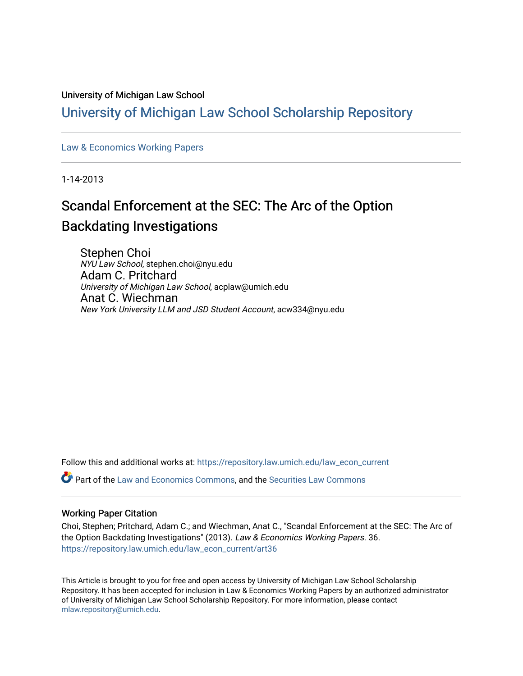## University of Michigan Law School

## [University of Michigan Law School Scholarship Repository](https://repository.law.umich.edu/)

## [Law & Economics Working Papers](https://repository.law.umich.edu/law_econ_current)

1-14-2013

# Scandal Enforcement at the SEC: The Arc of the Option Backdating Investigations

Stephen Choi NYU Law School, stephen.choi@nyu.edu Adam C. Pritchard University of Michigan Law School, acplaw@umich.edu Anat C. Wiechman New York University LLM and JSD Student Account, acw334@nyu.edu

Follow this and additional works at: [https://repository.law.umich.edu/law\\_econ\\_current](https://repository.law.umich.edu/law_econ_current?utm_source=repository.law.umich.edu%2Flaw_econ_current%2Fart36&utm_medium=PDF&utm_campaign=PDFCoverPages) 

Part of the [Law and Economics Commons](http://network.bepress.com/hgg/discipline/612?utm_source=repository.law.umich.edu%2Flaw_econ_current%2Fart36&utm_medium=PDF&utm_campaign=PDFCoverPages), and the [Securities Law Commons](http://network.bepress.com/hgg/discipline/619?utm_source=repository.law.umich.edu%2Flaw_econ_current%2Fart36&utm_medium=PDF&utm_campaign=PDFCoverPages)

## Working Paper Citation

Choi, Stephen; Pritchard, Adam C.; and Wiechman, Anat C., "Scandal Enforcement at the SEC: The Arc of the Option Backdating Investigations" (2013). Law & Economics Working Papers. 36. [https://repository.law.umich.edu/law\\_econ\\_current/art36](https://repository.law.umich.edu/law_econ_current/art36?utm_source=repository.law.umich.edu%2Flaw_econ_current%2Fart36&utm_medium=PDF&utm_campaign=PDFCoverPages)

This Article is brought to you for free and open access by University of Michigan Law School Scholarship Repository. It has been accepted for inclusion in Law & Economics Working Papers by an authorized administrator of University of Michigan Law School Scholarship Repository. For more information, please contact [mlaw.repository@umich.edu.](mailto:mlaw.repository@umich.edu)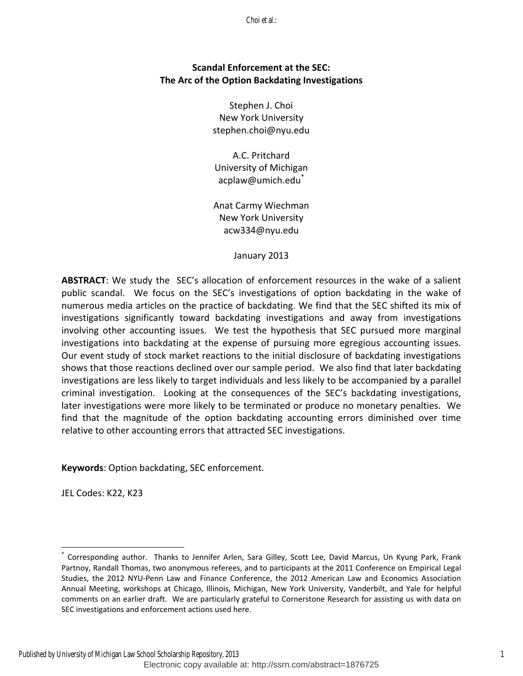## **Scandal Enforcement at the SEC: The Arc of the Option Backdating Investigations**

Stephen J. Choi New York University stephen.choi@nyu.edu

A.C. Pritchard University of Michigan acplaw@umich.edu<sup>\*</sup>

Anat Carmy Wiechman New York University acw334@nyu.edu

January 2013

**ABSTRACT**: We study the SEC's allocation of enforcement resources in the wake of a salient public scandal. We focus on the SEC's investigations of option backdating in the wake of numerous media articles on the practice of backdating. We find that the SEC shifted its mix of investigations significantly toward backdating investigations and away from investigations involving other accounting issues. We test the hypothesis that SEC pursued more marginal investigations into backdating at the expense of pursuing more egregious accounting issues. Our event study of stock market reactions to the initial disclosure of backdating investigations shows that those reactions declined over our sample period. We also find that later backdating investigations are less likely to target individuals and less likely to be accompanied by a parallel criminal investigation. Looking at the consequences of the SEC's backdating investigations, later investigations were more likely to be terminated or produce no monetary penalties. We find that the magnitude of the option backdating accounting errors diminished over time relative to other accounting errors that attracted SEC investigations.

**Keywords**: Option backdating, SEC enforcement.

JEL Codes: K22, K23

Electronic copy available at: http://ssrn.com/abstract=1876725 Published by University of Michigan Law School Scholarship Repository, 2013

Corresponding author. Thanks to Jennifer Arlen, Sara Gilley, Scott Lee, David Marcus, Un Kyung Park, Frank Partnoy, Randall Thomas, two anonymous referees, and to participants at the 2011 Conference on Empirical Legal Studies, the 2012 NYU‐Penn Law and Finance Conference, the 2012 American Law and Economics Association Annual Meeting, workshops at Chicago, Illinois, Michigan, New York University, Vanderbilt, and Yale for helpful comments on an earlier draft. We are particularly grateful to Cornerstone Research for assisting us with data on SEC investigations and enforcement actions used here.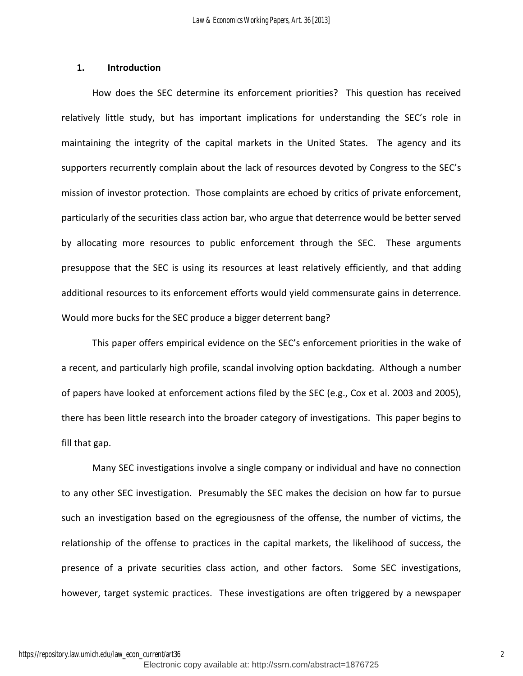## **1. Introduction**

How does the SEC determine its enforcement priorities? This question has received relatively little study, but has important implications for understanding the SEC's role in maintaining the integrity of the capital markets in the United States. The agency and its supporters recurrently complain about the lack of resources devoted by Congress to the SEC's mission of investor protection. Those complaints are echoed by critics of private enforcement, particularly of the securities class action bar, who argue that deterrence would be better served by allocating more resources to public enforcement through the SEC. These arguments presuppose that the SEC is using its resources at least relatively efficiently, and that adding additional resources to its enforcement efforts would yield commensurate gains in deterrence. Would more bucks for the SEC produce a bigger deterrent bang?

This paper offers empirical evidence on the SEC's enforcement priorities in the wake of a recent, and particularly high profile, scandal involving option backdating. Although a number of papers have looked at enforcement actions filed by the SEC (e.g., Cox et al. 2003 and 2005), there has been little research into the broader category of investigations. This paper begins to fill that gap.

Many SEC investigations involve a single company or individual and have no connection to any other SEC investigation. Presumably the SEC makes the decision on how far to pursue such an investigation based on the egregiousness of the offense, the number of victims, the relationship of the offense to practices in the capital markets, the likelihood of success, the presence of a private securities class action, and other factors. Some SEC investigations, however, target systemic practices. These investigations are often triggered by a newspaper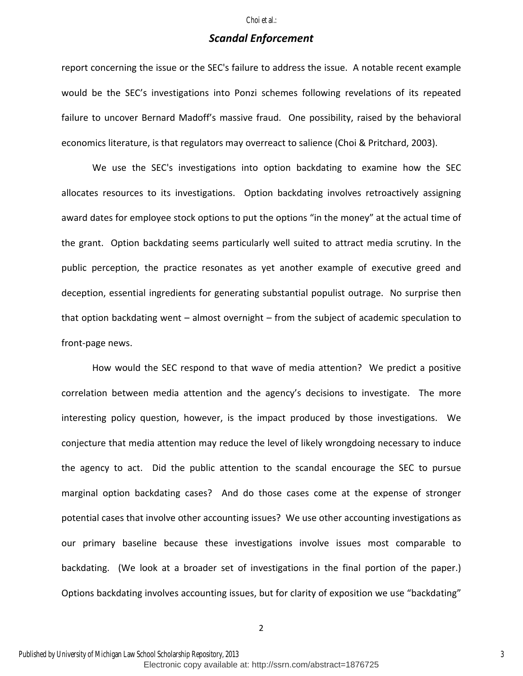## *Scandal Enforcement*

report concerning the issue or the SEC's failure to address the issue. A notable recent example would be the SEC's investigations into Ponzi schemes following revelations of its repeated failure to uncover Bernard Madoff's massive fraud. One possibility, raised by the behavioral economics literature, is that regulators may overreact to salience (Choi & Pritchard, 2003).

We use the SEC's investigations into option backdating to examine how the SEC allocates resources to its investigations. Option backdating involves retroactively assigning award dates for employee stock options to put the options "in the money" at the actual time of the grant. Option backdating seems particularly well suited to attract media scrutiny. In the public perception, the practice resonates as yet another example of executive greed and deception, essential ingredients for generating substantial populist outrage. No surprise then that option backdating went – almost overnight – from the subject of academic speculation to front‐page news.

How would the SEC respond to that wave of media attention? We predict a positive correlation between media attention and the agency's decisions to investigate. The more interesting policy question, however, is the impact produced by those investigations. We conjecture that media attention may reduce the level of likely wrongdoing necessary to induce the agency to act. Did the public attention to the scandal encourage the SEC to pursue marginal option backdating cases? And do those cases come at the expense of stronger potential cases that involve other accounting issues? We use other accounting investigations as our primary baseline because these investigations involve issues most comparable to backdating. (We look at a broader set of investigations in the final portion of the paper.) Options backdating involves accounting issues, but for clarity of exposition we use "backdating"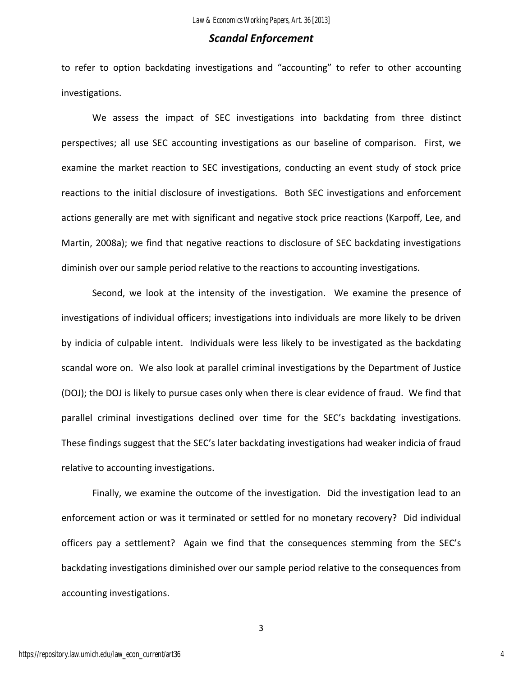to refer to option backdating investigations and "accounting" to refer to other accounting investigations.

We assess the impact of SEC investigations into backdating from three distinct perspectives; all use SEC accounting investigations as our baseline of comparison. First, we examine the market reaction to SEC investigations, conducting an event study of stock price reactions to the initial disclosure of investigations. Both SEC investigations and enforcement actions generally are met with significant and negative stock price reactions (Karpoff, Lee, and Martin, 2008a); we find that negative reactions to disclosure of SEC backdating investigations diminish over our sample period relative to the reactions to accounting investigations.

Second, we look at the intensity of the investigation. We examine the presence of investigations of individual officers; investigations into individuals are more likely to be driven by indicia of culpable intent. Individuals were less likely to be investigated as the backdating scandal wore on. We also look at parallel criminal investigations by the Department of Justice (DOJ); the DOJ is likely to pursue cases only when there is clear evidence of fraud. We find that parallel criminal investigations declined over time for the SEC's backdating investigations. These findings suggest that the SEC's later backdating investigations had weaker indicia of fraud relative to accounting investigations.

Finally, we examine the outcome of the investigation. Did the investigation lead to an enforcement action or was it terminated or settled for no monetary recovery? Did individual officers pay a settlement? Again we find that the consequences stemming from the SEC's backdating investigations diminished over our sample period relative to the consequences from accounting investigations.

3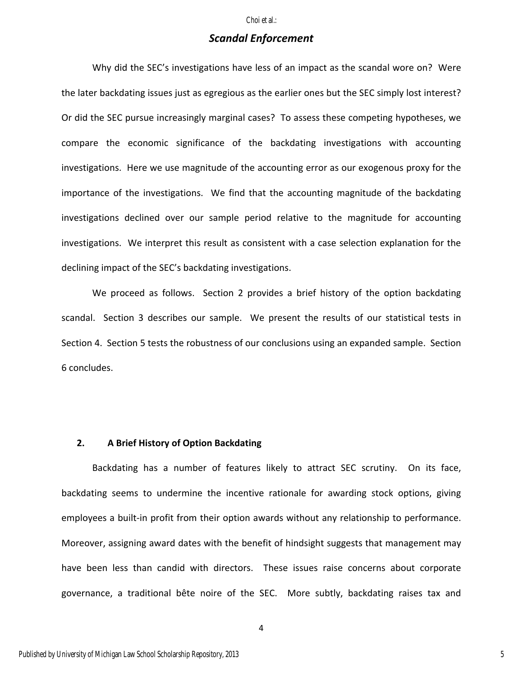## *Scandal Enforcement*

Why did the SEC's investigations have less of an impact as the scandal wore on? Were the later backdating issues just as egregious as the earlier ones but the SEC simply lost interest? Or did the SEC pursue increasingly marginal cases? To assess these competing hypotheses, we compare the economic significance of the backdating investigations with accounting investigations. Here we use magnitude of the accounting error as our exogenous proxy for the importance of the investigations. We find that the accounting magnitude of the backdating investigations declined over our sample period relative to the magnitude for accounting investigations. We interpret this result as consistent with a case selection explanation for the declining impact of the SEC's backdating investigations.

We proceed as follows. Section 2 provides a brief history of the option backdating scandal. Section 3 describes our sample. We present the results of our statistical tests in Section 4. Section 5 tests the robustness of our conclusions using an expanded sample. Section 6 concludes.

### **2. A Brief History of Option Backdating**

Backdating has a number of features likely to attract SEC scrutiny. On its face, backdating seems to undermine the incentive rationale for awarding stock options, giving employees a built‐in profit from their option awards without any relationship to performance. Moreover, assigning award dates with the benefit of hindsight suggests that management may have been less than candid with directors. These issues raise concerns about corporate governance, a traditional bête noire of the SEC. More subtly, backdating raises tax and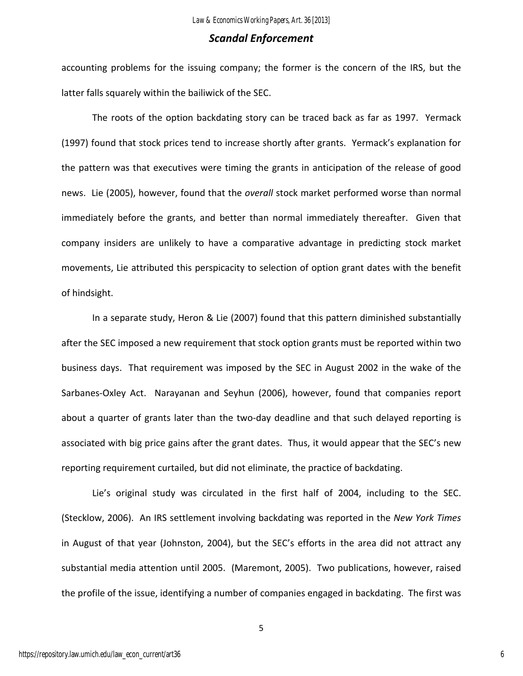accounting problems for the issuing company; the former is the concern of the IRS, but the latter falls squarely within the bailiwick of the SEC.

The roots of the option backdating story can be traced back as far as 1997. Yermack (1997) found that stock prices tend to increase shortly after grants. Yermack's explanation for the pattern was that executives were timing the grants in anticipation of the release of good news. Lie (2005), however, found that the *overall* stock market performed worse than normal immediately before the grants, and better than normal immediately thereafter. Given that company insiders are unlikely to have a comparative advantage in predicting stock market movements, Lie attributed this perspicacity to selection of option grant dates with the benefit of hindsight.

In a separate study, Heron & Lie (2007) found that this pattern diminished substantially after the SEC imposed a new requirement that stock option grants must be reported within two business days. That requirement was imposed by the SEC in August 2002 in the wake of the Sarbanes-Oxley Act. Narayanan and Seyhun (2006), however, found that companies report about a quarter of grants later than the two-day deadline and that such delayed reporting is associated with big price gains after the grant dates. Thus, it would appear that the SEC's new reporting requirement curtailed, but did not eliminate, the practice of backdating.

Lie's original study was circulated in the first half of 2004, including to the SEC. (Stecklow, 2006). An IRS settlement involving backdating was reported in the *New York Times* in August of that year (Johnston, 2004), but the SEC's efforts in the area did not attract any substantial media attention until 2005. (Maremont, 2005). Two publications, however, raised the profile of the issue, identifying a number of companies engaged in backdating. The first was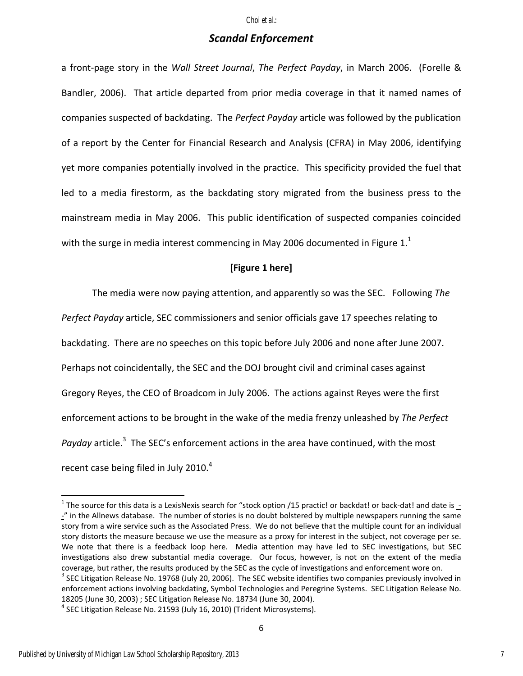## *Scandal Enforcement*

a front‐page story in the *Wall Street Journal*, *The Perfect Payday*, in March 2006. (Forelle & Bandler, 2006). That article departed from prior media coverage in that it named names of companies suspected of backdating. The *Perfect Payday* article was followed by the publication of a report by the Center for Financial Research and Analysis (CFRA) in May 2006, identifying yet more companies potentially involved in the practice. This specificity provided the fuel that led to a media firestorm, as the backdating story migrated from the business press to the mainstream media in May 2006. This public identification of suspected companies coincided with the surge in media interest commencing in May 2006 documented in Figure  $1<sup>1</sup>$ 

## **[Figure 1 here]**

The media were now paying attention, and apparently so was the SEC. Following *The Perfect Payday* article, SEC commissioners and senior officials gave 17 speeches relating to backdating. There are no speeches on this topic before July 2006 and none after June 2007. Perhaps not coincidentally, the SEC and the DOJ brought civil and criminal cases against Gregory Reyes, the CEO of Broadcom in July 2006. The actions against Reyes were the first enforcement actions to be brought in the wake of the media frenzy unleashed by *The Perfect* Payday article.<sup>3</sup> The SEC's enforcement actions in the area have continued, with the most recent case being filed in July 2010. $4$ 

<sup>&</sup>lt;sup>1</sup> The source for this data is a LexisNexis search for "stock option /15 practic! or backdat! or back-dat! and date is  $\pm$ ‐" in the Allnews database. The number of stories is no doubt bolstered by multiple newspapers running the same story from a wire service such as the Associated Press. We do not believe that the multiple count for an individual story distorts the measure because we use the measure as a proxy for interest in the subject, not coverage per se. We note that there is a feedback loop here. Media attention may have led to SEC investigations, but SEC investigations also drew substantial media coverage. Our focus, however, is not on the extent of the media coverage, but rather, the results produced by the SEC as the cycle of investigations and enforcement wore on.<br><sup>3</sup> SEC Litigation Release No. 19768 (July 20, 2006). The SEC website identifies two companies previously involv

enforcement actions involving backdating, Symbol Technologies and Peregrine Systems. SEC Litigation Release No. 18205 (June 30, 2003) ; SEC Litigation Release No. 18734 (June 30, 2004).<br><sup>4</sup> SEC Litigation Release No. 21593 (July 16, 2010) (Trident Microsystems).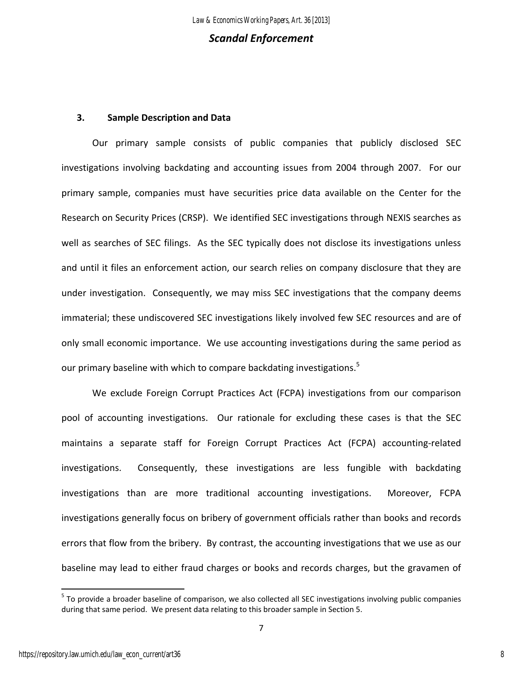### **3. Sample Description and Data**

Our primary sample consists of public companies that publicly disclosed SEC investigations involving backdating and accounting issues from 2004 through 2007. For our primary sample, companies must have securities price data available on the Center for the Research on Security Prices (CRSP). We identified SEC investigations through NEXIS searches as well as searches of SEC filings. As the SEC typically does not disclose its investigations unless and until it files an enforcement action, our search relies on company disclosure that they are under investigation. Consequently, we may miss SEC investigations that the company deems immaterial; these undiscovered SEC investigations likely involved few SEC resources and are of only small economic importance. We use accounting investigations during the same period as our primary baseline with which to compare backdating investigations.<sup>5</sup>

We exclude Foreign Corrupt Practices Act (FCPA) investigations from our comparison pool of accounting investigations. Our rationale for excluding these cases is that the SEC maintains a separate staff for Foreign Corrupt Practices Act (FCPA) accounting-related investigations. Consequently, these investigations are less fungible with backdating investigations than are more traditional accounting investigations. Moreover, FCPA investigations generally focus on bribery of government officials rather than books and records errors that flow from the bribery. By contrast, the accounting investigations that we use as our baseline may lead to either fraud charges or books and records charges, but the gravamen of

 $5$  To provide a broader baseline of comparison, we also collected all SEC investigations involving public companies during that same period. We present data relating to this broader sample in Section 5.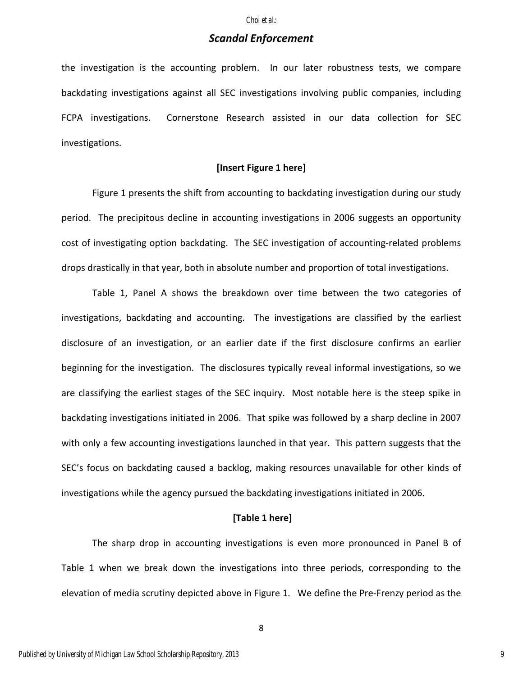the investigation is the accounting problem. In our later robustness tests, we compare backdating investigations against all SEC investigations involving public companies, including FCPA investigations. Cornerstone Research assisted in our data collection for SEC investigations.

## **[Insert Figure 1 here]**

Figure 1 presents the shift from accounting to backdating investigation during our study period. The precipitous decline in accounting investigations in 2006 suggests an opportunity cost of investigating option backdating. The SEC investigation of accounting‐related problems drops drastically in that year, both in absolute number and proportion of total investigations.

Table 1, Panel A shows the breakdown over time between the two categories of investigations, backdating and accounting. The investigations are classified by the earliest disclosure of an investigation, or an earlier date if the first disclosure confirms an earlier beginning for the investigation. The disclosures typically reveal informal investigations, so we are classifying the earliest stages of the SEC inquiry. Most notable here is the steep spike in backdating investigations initiated in 2006. That spike was followed by a sharp decline in 2007 with only a few accounting investigations launched in that year. This pattern suggests that the SEC's focus on backdating caused a backlog, making resources unavailable for other kinds of investigations while the agency pursued the backdating investigations initiated in 2006.

### **[Table 1 here]**

The sharp drop in accounting investigations is even more pronounced in Panel B of Table 1 when we break down the investigations into three periods, corresponding to the elevation of media scrutiny depicted above in Figure 1. We define the Pre‐Frenzy period as the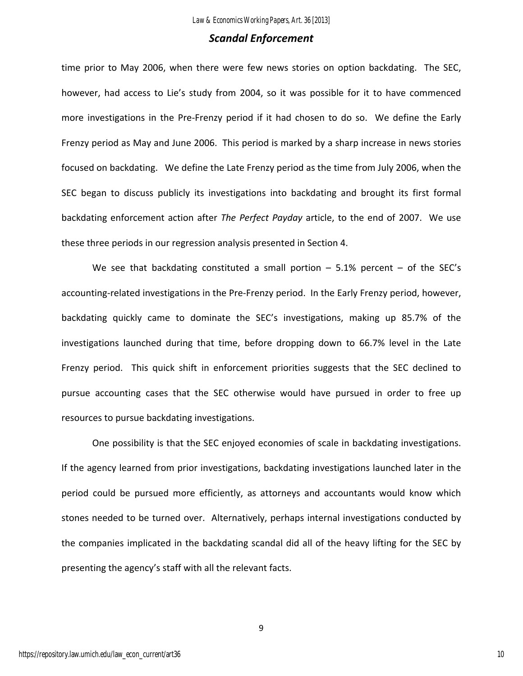time prior to May 2006, when there were few news stories on option backdating. The SEC, however, had access to Lie's study from 2004, so it was possible for it to have commenced more investigations in the Pre‐Frenzy period if it had chosen to do so. We define the Early Frenzy period as May and June 2006. This period is marked by a sharp increase in news stories focused on backdating. We define the Late Frenzy period as the time from July 2006, when the SEC began to discuss publicly its investigations into backdating and brought its first formal backdating enforcement action after *The Perfect Payday* article, to the end of 2007. We use these three periods in our regression analysis presented in Section 4.

We see that backdating constituted a small portion  $-5.1\%$  percent  $-$  of the SEC's accounting-related investigations in the Pre-Frenzy period. In the Early Frenzy period, however, backdating quickly came to dominate the SEC's investigations, making up 85.7% of the investigations launched during that time, before dropping down to 66.7% level in the Late Frenzy period. This quick shift in enforcement priorities suggests that the SEC declined to pursue accounting cases that the SEC otherwise would have pursued in order to free up resources to pursue backdating investigations.

One possibility is that the SEC enjoyed economies of scale in backdating investigations. If the agency learned from prior investigations, backdating investigations launched later in the period could be pursued more efficiently, as attorneys and accountants would know which stones needed to be turned over. Alternatively, perhaps internal investigations conducted by the companies implicated in the backdating scandal did all of the heavy lifting for the SEC by presenting the agency's staff with all the relevant facts.

9

https://repository.law.umich.edu/law\_econ\_current/art36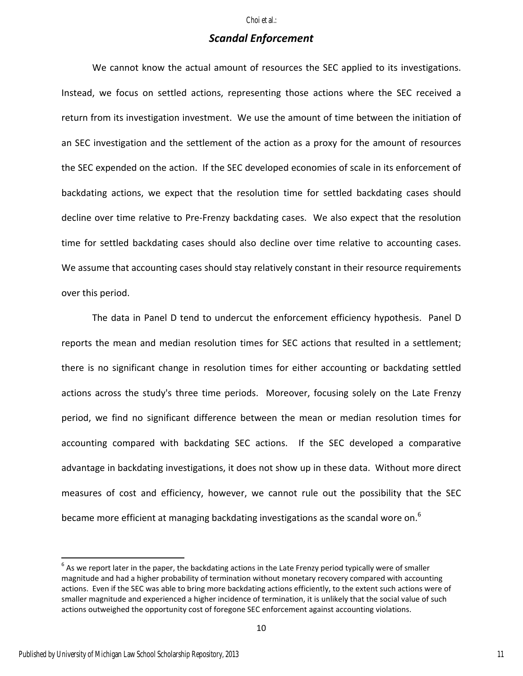We cannot know the actual amount of resources the SEC applied to its investigations. Instead, we focus on settled actions, representing those actions where the SEC received a return from its investigation investment. We use the amount of time between the initiation of an SEC investigation and the settlement of the action as a proxy for the amount of resources the SEC expended on the action. If the SEC developed economies of scale in its enforcement of backdating actions, we expect that the resolution time for settled backdating cases should decline over time relative to Pre‐Frenzy backdating cases. We also expect that the resolution time for settled backdating cases should also decline over time relative to accounting cases. We assume that accounting cases should stay relatively constant in their resource requirements over this period.

The data in Panel D tend to undercut the enforcement efficiency hypothesis. Panel D reports the mean and median resolution times for SEC actions that resulted in a settlement; there is no significant change in resolution times for either accounting or backdating settled actions across the study's three time periods. Moreover, focusing solely on the Late Frenzy period, we find no significant difference between the mean or median resolution times for accounting compared with backdating SEC actions. If the SEC developed a comparative advantage in backdating investigations, it does not show up in these data. Without more direct measures of cost and efficiency, however, we cannot rule out the possibility that the SEC became more efficient at managing backdating investigations as the scandal wore on.<sup>6</sup>

 $6$  As we report later in the paper, the backdating actions in the Late Frenzy period typically were of smaller magnitude and had a higher probability of termination without monetary recovery compared with accounting actions. Even if the SEC was able to bring more backdating actions efficiently, to the extent such actions were of smaller magnitude and experienced a higher incidence of termination, it is unlikely that the social value of such actions outweighed the opportunity cost of foregone SEC enforcement against accounting violations.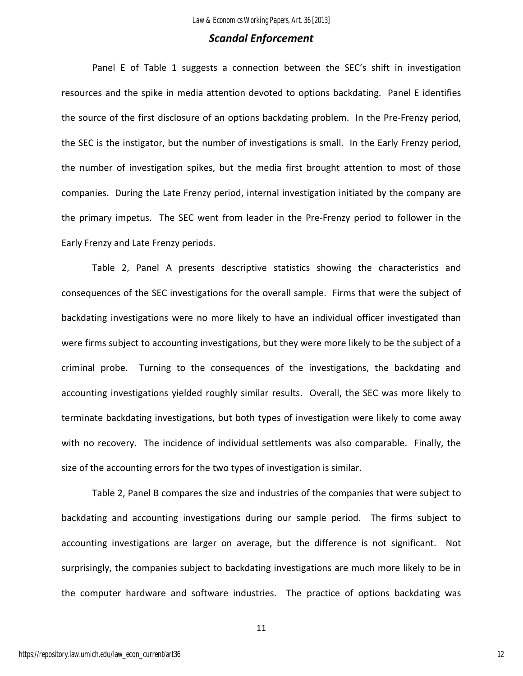Panel E of Table 1 suggests a connection between the SEC's shift in investigation resources and the spike in media attention devoted to options backdating. Panel E identifies the source of the first disclosure of an options backdating problem. In the Pre‐Frenzy period, the SEC is the instigator, but the number of investigations is small. In the Early Frenzy period, the number of investigation spikes, but the media first brought attention to most of those companies. During the Late Frenzy period, internal investigation initiated by the company are the primary impetus. The SEC went from leader in the Pre-Frenzy period to follower in the Early Frenzy and Late Frenzy periods.

Table 2, Panel A presents descriptive statistics showing the characteristics and consequences of the SEC investigations for the overall sample. Firms that were the subject of backdating investigations were no more likely to have an individual officer investigated than were firms subject to accounting investigations, but they were more likely to be the subject of a criminal probe. Turning to the consequences of the investigations, the backdating and accounting investigations yielded roughly similar results. Overall, the SEC was more likely to terminate backdating investigations, but both types of investigation were likely to come away with no recovery. The incidence of individual settlements was also comparable. Finally, the size of the accounting errors for the two types of investigation is similar.

Table 2, Panel B compares the size and industries of the companies that were subject to backdating and accounting investigations during our sample period. The firms subject to accounting investigations are larger on average, but the difference is not significant. Not surprisingly, the companies subject to backdating investigations are much more likely to be in the computer hardware and software industries. The practice of options backdating was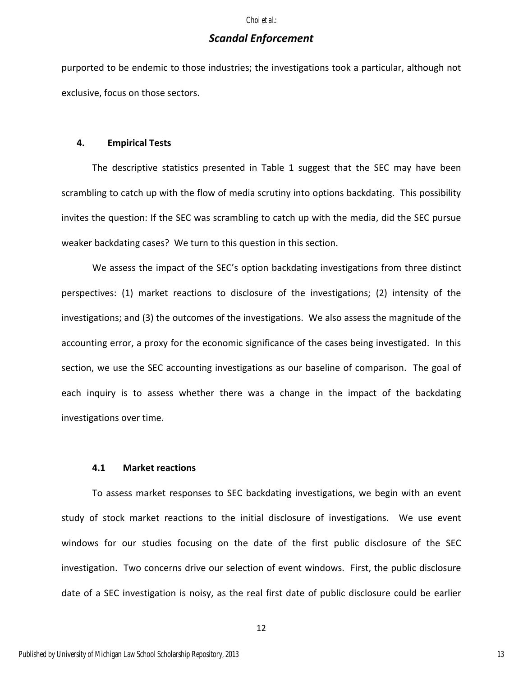## *Scandal Enforcement*

purported to be endemic to those industries; the investigations took a particular, although not exclusive, focus on those sectors.

## **4. Empirical Tests**

The descriptive statistics presented in Table 1 suggest that the SEC may have been scrambling to catch up with the flow of media scrutiny into options backdating. This possibility invites the question: If the SEC was scrambling to catch up with the media, did the SEC pursue weaker backdating cases? We turn to this question in this section.

We assess the impact of the SEC's option backdating investigations from three distinct perspectives: (1) market reactions to disclosure of the investigations; (2) intensity of the investigations; and (3) the outcomes of the investigations. We also assess the magnitude of the accounting error, a proxy for the economic significance of the cases being investigated. In this section, we use the SEC accounting investigations as our baseline of comparison. The goal of each inquiry is to assess whether there was a change in the impact of the backdating investigations over time.

### **4.1 Market reactions**

To assess market responses to SEC backdating investigations, we begin with an event study of stock market reactions to the initial disclosure of investigations. We use event windows for our studies focusing on the date of the first public disclosure of the SEC investigation. Two concerns drive our selection of event windows. First, the public disclosure date of a SEC investigation is noisy, as the real first date of public disclosure could be earlier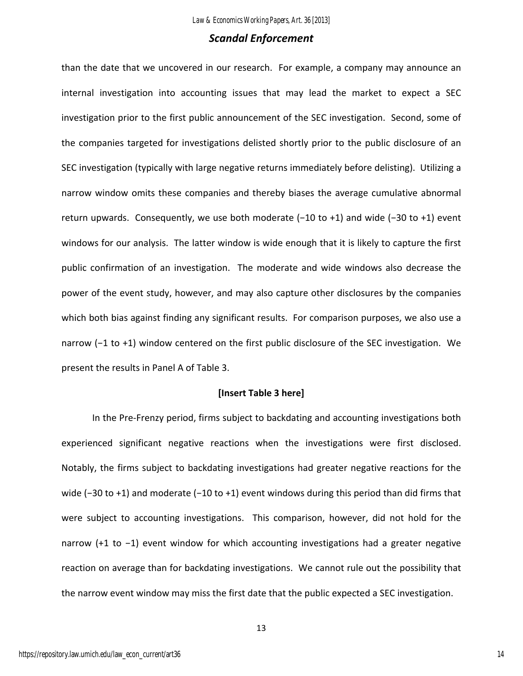than the date that we uncovered in our research. For example, a company may announce an internal investigation into accounting issues that may lead the market to expect a SEC investigation prior to the first public announcement of the SEC investigation. Second, some of the companies targeted for investigations delisted shortly prior to the public disclosure of an SEC investigation (typically with large negative returns immediately before delisting). Utilizing a narrow window omits these companies and thereby biases the average cumulative abnormal return upwards. Consequently, we use both moderate (−10 to +1) and wide (−30 to +1) event windows for our analysis. The latter window is wide enough that it is likely to capture the first public confirmation of an investigation. The moderate and wide windows also decrease the power of the event study, however, and may also capture other disclosures by the companies which both bias against finding any significant results. For comparison purposes, we also use a narrow (−1 to +1) window centered on the first public disclosure of the SEC investigation. We present the results in Panel A of Table 3.

### **[Insert Table 3 here]**

In the Pre‐Frenzy period, firms subject to backdating and accounting investigations both experienced significant negative reactions when the investigations were first disclosed. Notably, the firms subject to backdating investigations had greater negative reactions for the wide (-30 to +1) and moderate (-10 to +1) event windows during this period than did firms that were subject to accounting investigations. This comparison, however, did not hold for the narrow (+1 to -1) event window for which accounting investigations had a greater negative reaction on average than for backdating investigations. We cannot rule out the possibility that the narrow event window may miss the first date that the public expected a SEC investigation.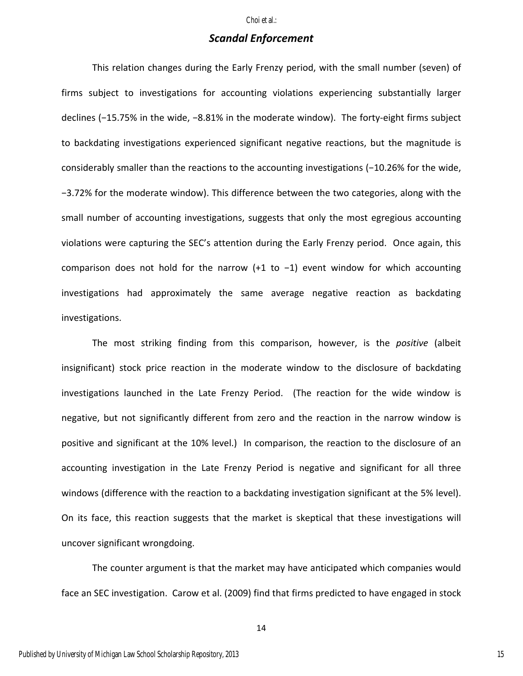## *Scandal Enforcement*

This relation changes during the Early Frenzy period, with the small number (seven) of firms subject to investigations for accounting violations experiencing substantially larger declines (−15.75% in the wide, −8.81% in the moderate window). The forty‐eight firms subject to backdating investigations experienced significant negative reactions, but the magnitude is considerably smaller than the reactions to the accounting investigations (−10.26% for the wide, −3.72% for the moderate window). This difference between the two categories, along with the small number of accounting investigations, suggests that only the most egregious accounting violations were capturing the SEC's attention during the Early Frenzy period. Once again, this comparison does not hold for the narrow  $(+1 \text{ to } -1)$  event window for which accounting investigations had approximately the same average negative reaction as backdating investigations.

The most striking finding from this comparison, however, is the *positive* (albeit insignificant) stock price reaction in the moderate window to the disclosure of backdating investigations launched in the Late Frenzy Period. (The reaction for the wide window is negative, but not significantly different from zero and the reaction in the narrow window is positive and significant at the 10% level.) In comparison, the reaction to the disclosure of an accounting investigation in the Late Frenzy Period is negative and significant for all three windows (difference with the reaction to a backdating investigation significant at the 5% level). On its face, this reaction suggests that the market is skeptical that these investigations will uncover significant wrongdoing.

The counter argument is that the market may have anticipated which companies would face an SEC investigation. Carow et al. (2009) find that firms predicted to have engaged in stock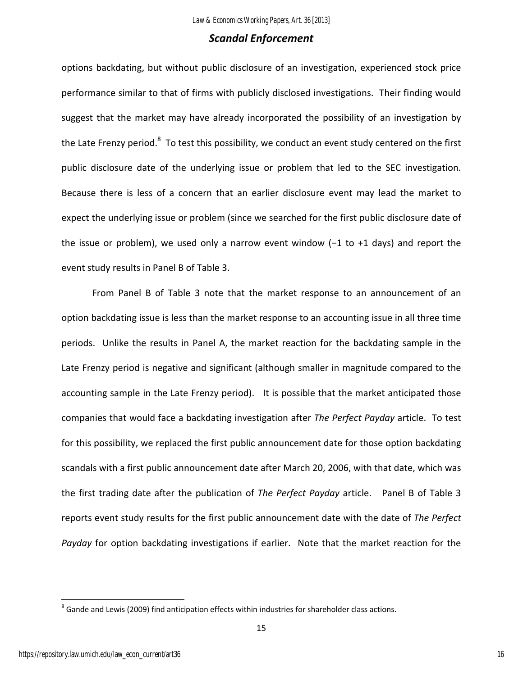options backdating, but without public disclosure of an investigation, experienced stock price performance similar to that of firms with publicly disclosed investigations. Their finding would suggest that the market may have already incorporated the possibility of an investigation by the Late Frenzy period.<sup>8</sup> To test this possibility, we conduct an event study centered on the first public disclosure date of the underlying issue or problem that led to the SEC investigation. Because there is less of a concern that an earlier disclosure event may lead the market to expect the underlying issue or problem (since we searched for the first public disclosure date of the issue or problem), we used only a narrow event window (−1 to +1 days) and report the event study results in Panel B of Table 3.

From Panel B of Table 3 note that the market response to an announcement of an option backdating issue is less than the market response to an accounting issue in all three time periods. Unlike the results in Panel A, the market reaction for the backdating sample in the Late Frenzy period is negative and significant (although smaller in magnitude compared to the accounting sample in the Late Frenzy period). It is possible that the market anticipated those companies that would face a backdating investigation after *The Perfect Payday* article. To test for this possibility, we replaced the first public announcement date for those option backdating scandals with a first public announcement date after March 20, 2006, with that date, which was the first trading date after the publication of *The Perfect Payday* article. Panel B of Table 3 reports event study results for the first public announcement date with the date of *The Perfect Payday* for option backdating investigations if earlier. Note that the market reaction for the

 $8$  Gande and Lewis (2009) find anticipation effects within industries for shareholder class actions.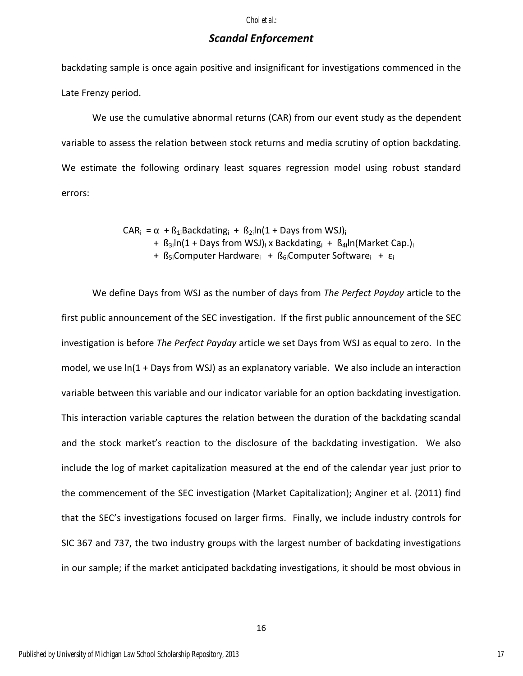backdating sample is once again positive and insignificant for investigations commenced in the Late Frenzy period.

We use the cumulative abnormal returns (CAR) from our event study as the dependent variable to assess the relation between stock returns and media scrutiny of option backdating. We estimate the following ordinary least squares regression model using robust standard errors:

$$
CAR_i = \alpha + B_{1i} Backdating_i + B_{2i}ln(1 + Days from WSJ)_i
$$
  
+ B\_{3i}ln(1 + Days from WSJ)\_i x Backdating\_i + B\_{4i}ln(Market Cap.)\_i  
+ B\_{5i}Computer Hardware\_i + B\_{6i}Computer Software\_i + E\_i

We define Days from WSJ as the number of days from *The Perfect Payday* article to the first public announcement of the SEC investigation. If the first public announcement of the SEC investigation is before *The Perfect Payday* article we set Days from WSJ as equal to zero. In the model, we use ln(1 + Days from WSJ) as an explanatory variable. We also include an interaction variable between this variable and our indicator variable for an option backdating investigation. This interaction variable captures the relation between the duration of the backdating scandal and the stock market's reaction to the disclosure of the backdating investigation. We also include the log of market capitalization measured at the end of the calendar year just prior to the commencement of the SEC investigation (Market Capitalization); Anginer et al. (2011) find that the SEC's investigations focused on larger firms. Finally, we include industry controls for SIC 367 and 737, the two industry groups with the largest number of backdating investigations in our sample; if the market anticipated backdating investigations, it should be most obvious in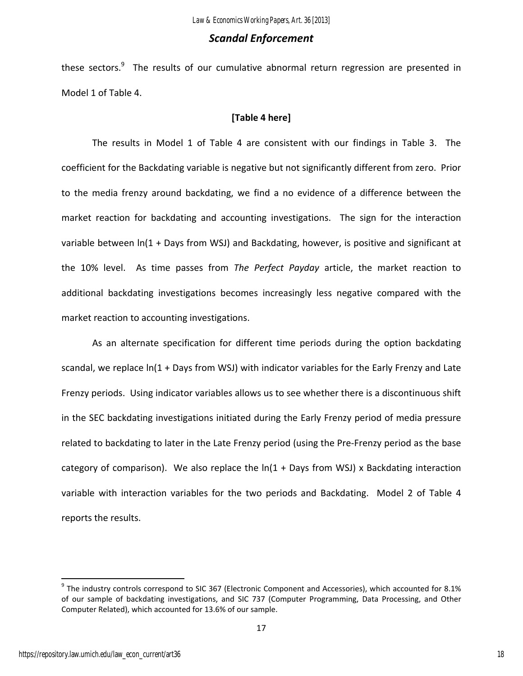these sectors.<sup>9</sup> The results of our cumulative abnormal return regression are presented in Model 1 of Table 4.

## **[Table 4 here]**

The results in Model 1 of Table 4 are consistent with our findings in Table 3. The coefficient for the Backdating variable is negative but not significantly different from zero. Prior to the media frenzy around backdating, we find a no evidence of a difference between the market reaction for backdating and accounting investigations. The sign for the interaction variable between ln(1 + Days from WSJ) and Backdating, however, is positive and significant at the 10% level. As time passes from *The Perfect Payday* article, the market reaction to additional backdating investigations becomes increasingly less negative compared with the market reaction to accounting investigations.

As an alternate specification for different time periods during the option backdating scandal, we replace ln(1 + Days from WSJ) with indicator variables for the Early Frenzy and Late Frenzy periods. Using indicator variables allows us to see whether there is a discontinuous shift in the SEC backdating investigations initiated during the Early Frenzy period of media pressure related to backdating to later in the Late Frenzy period (using the Pre‐Frenzy period as the base category of comparison). We also replace the  $ln(1 +$  Days from WSJ) x Backdating interaction variable with interaction variables for the two periods and Backdating. Model 2 of Table 4 reports the results.

<sup>&</sup>lt;sup>9</sup> The industry controls correspond to SIC 367 (Electronic Component and Accessories), which accounted for 8.1% of our sample of backdating investigations, and SIC 737 (Computer Programming, Data Processing, and Other Computer Related), which accounted for 13.6% of our sample.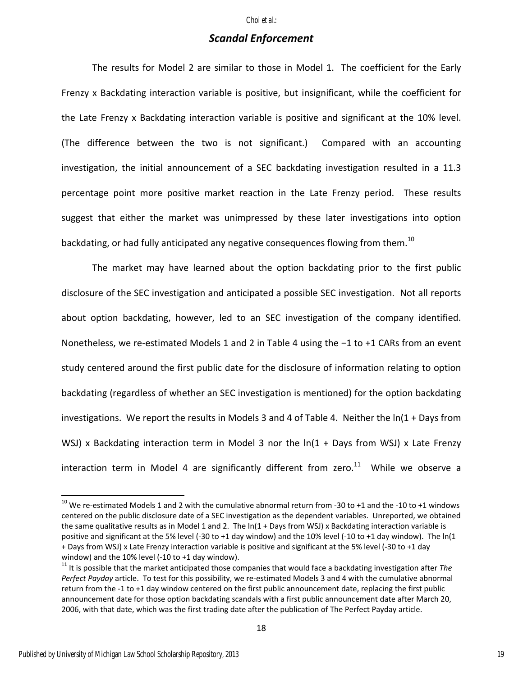## *Scandal Enforcement*

The results for Model 2 are similar to those in Model 1. The coefficient for the Early Frenzy x Backdating interaction variable is positive, but insignificant, while the coefficient for the Late Frenzy x Backdating interaction variable is positive and significant at the 10% level. (The difference between the two is not significant.) Compared with an accounting investigation, the initial announcement of a SEC backdating investigation resulted in a 11.3 percentage point more positive market reaction in the Late Frenzy period. These results suggest that either the market was unimpressed by these later investigations into option backdating, or had fully anticipated any negative consequences flowing from them.<sup>10</sup>

The market may have learned about the option backdating prior to the first public disclosure of the SEC investigation and anticipated a possible SEC investigation. Not all reports about option backdating, however, led to an SEC investigation of the company identified. Nonetheless, we re‐estimated Models 1 and 2 in Table 4 using the −1 to +1 CARs from an event study centered around the first public date for the disclosure of information relating to option backdating (regardless of whether an SEC investigation is mentioned) for the option backdating investigations. We report the results in Models 3 and 4 of Table 4. Neither the ln(1 + Days from WSJ) x Backdating interaction term in Model 3 nor the  $ln(1 + Days$  from WSJ) x Late Frenzy interaction term in Model 4 are significantly different from zero.<sup>11</sup> While we observe a

<sup>&</sup>lt;sup>10</sup> We re-estimated Models 1 and 2 with the cumulative abnormal return from -30 to +1 and the -10 to +1 windows centered on the public disclosure date of a SEC investigation as the dependent variables. Unreported, we obtained the same qualitative results as in Model 1 and 2. The ln(1 + Days from WSJ) x Backdating interaction variable is positive and significant at the 5% level (‐30 to +1 day window) and the 10% level (‐10 to +1 day window). The ln(1 + Days from WSJ) x Late Frenzy interaction variable is positive and significant at the 5% level (‐30 to +1 day window) and the 10% level (-10 to +1 day window).<br><sup>11</sup> It is possible that the market anticipated those companies that would face a backdating investigation after *The* 

*Perfect Payday* article. To test for this possibility, we re‐estimated Models 3 and 4 with the cumulative abnormal return from the ‐1 to +1 day window centered on the first public announcement date, replacing the first public announcement date for those option backdating scandals with a first public announcement date after March 20, 2006, with that date, which was the first trading date after the publication of The Perfect Payday article.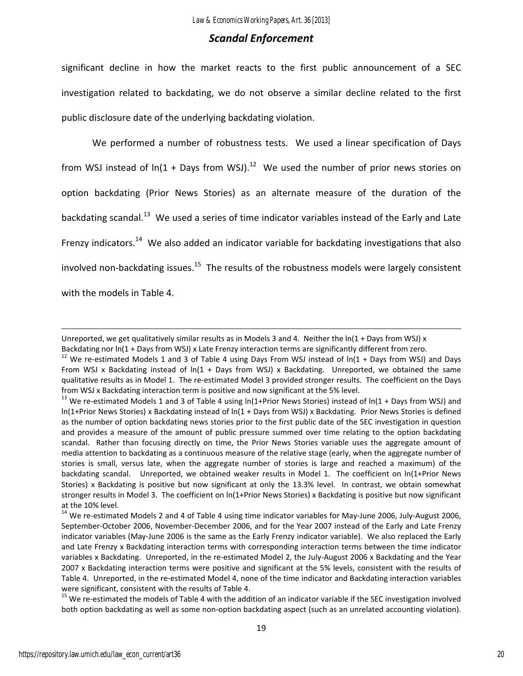significant decline in how the market reacts to the first public announcement of a SEC investigation related to backdating, we do not observe a similar decline related to the first public disclosure date of the underlying backdating violation.

We performed a number of robustness tests. We used a linear specification of Days from WSJ instead of  $ln(1 + Days$  from WSJ).<sup>12</sup> We used the number of prior news stories on option backdating (Prior News Stories) as an alternate measure of the duration of the backdating scandal.<sup>13</sup> We used a series of time indicator variables instead of the Early and Late Frenzy indicators.<sup>14</sup> We also added an indicator variable for backdating investigations that also involved non-backdating issues. $^{15}$  The results of the robustness models were largely consistent with the models in Table 4.

<u> 1989 - Johann Stoff, fransk politik (d. 1989)</u>

Unreported, we get qualitatively similar results as in Models 3 and 4. Neither the  $ln(1 + Days$  from WSJ) x

Backdating nor ln(1 + Days from WSJ) x Late Frenzy interaction terms are significantly different from zero.<br><sup>12</sup> We re-estimated Models 1 and 3 of Table 4 using Days From WSJ instead of ln(1 + Days from WSJ) and Days From WSJ x Backdating instead of  $ln(1 + Days$  from WSJ) x Backdating. Unreported, we obtained the same qualitative results as in Model 1. The re‐estimated Model 3 provided stronger results. The coefficient on the Days

from WSJ x Backdating interaction term is positive and now significant at the 5% level.<br><sup>13</sup> We re-estimated Models 1 and 3 of Table 4 using ln(1+Prior News Stories) instead of ln(1 + Days from WSJ) and ln(1+Prior News Stories) x Backdating instead of ln(1 + Days from WSJ) x Backdating. Prior News Stories is defined as the number of option backdating news stories prior to the first public date of the SEC investigation in question and provides a measure of the amount of public pressure summed over time relating to the option backdating scandal. Rather than focusing directly on time, the Prior News Stories variable uses the aggregate amount of media attention to backdating as a continuous measure of the relative stage (early, when the aggregate number of stories is small, versus late, when the aggregate number of stories is large and reached a maximum) of the backdating scandal. Unreported, we obtained weaker results in Model 1. The coefficient on ln(1+Prior News Stories) x Backdating is positive but now significant at only the 13.3% level. In contrast, we obtain somewhat stronger results in Model 3. The coefficient on ln(1+Prior News Stories) x Backdating is positive but now significant at the 10% level.<br><sup>14</sup> We re‐estimated Models 2 and 4 of Table 4 using time indicator variables for May‐June 2006, July‐August 2006,

September‐October 2006, November‐December 2006, and for the Year 2007 instead of the Early and Late Frenzy indicator variables (May‐June 2006 is the same as the Early Frenzy indicator variable). We also replaced the Early and Late Frenzy x Backdating interaction terms with corresponding interaction terms between the time indicator variables x Backdating. Unreported, in the re-estimated Model 2, the July-August 2006 x Backdating and the Year 2007 x Backdating interaction terms were positive and significant at the 5% levels, consistent with the results of Table 4. Unreported, in the re-estimated Model 4, none of the time indicator and Backdating interaction variables were significant, consistent with the results of Table 4.<br>
<sup>15</sup> We re-estimated the models of Table 4 with the addition of an indicator variable if the SEC investigation involved

both option backdating as well as some non-option backdating aspect (such as an unrelated accounting violation).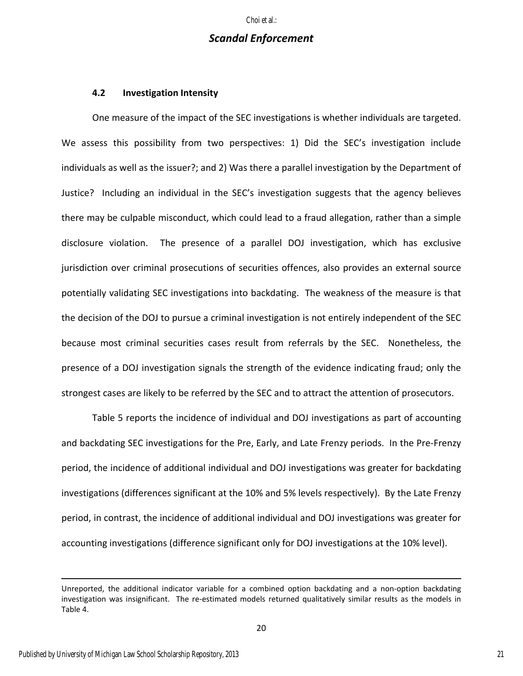#### **4.2 Investigation Intensity**

One measure of the impact of the SEC investigations is whether individuals are targeted. We assess this possibility from two perspectives: 1) Did the SEC's investigation include individuals as well as the issuer?; and 2) Was there a parallel investigation by the Department of Justice? Including an individual in the SEC's investigation suggests that the agency believes there may be culpable misconduct, which could lead to a fraud allegation, rather than a simple disclosure violation. The presence of a parallel DOJ investigation, which has exclusive jurisdiction over criminal prosecutions of securities offences, also provides an external source potentially validating SEC investigations into backdating. The weakness of the measure is that the decision of the DOJ to pursue a criminal investigation is not entirely independent of the SEC because most criminal securities cases result from referrals by the SEC. Nonetheless, the presence of a DOJ investigation signals the strength of the evidence indicating fraud; only the strongest cases are likely to be referred by the SEC and to attract the attention of prosecutors.

Table 5 reports the incidence of individual and DOJ investigations as part of accounting and backdating SEC investigations for the Pre, Early, and Late Frenzy periods. In the Pre‐Frenzy period, the incidence of additional individual and DOJ investigations was greater for backdating investigations (differences significant at the 10% and 5% levels respectively). By the Late Frenzy period, in contrast, the incidence of additional individual and DOJ investigations was greater for accounting investigations (difference significant only for DOJ investigations at the 10% level).

<u> 1989 - Johann Stoff, fransk politik (d. 1989)</u>

Unreported, the additional indicator variable for a combined option backdating and a non‐option backdating investigation was insignificant. The re‐estimated models returned qualitatively similar results as the models in Table 4.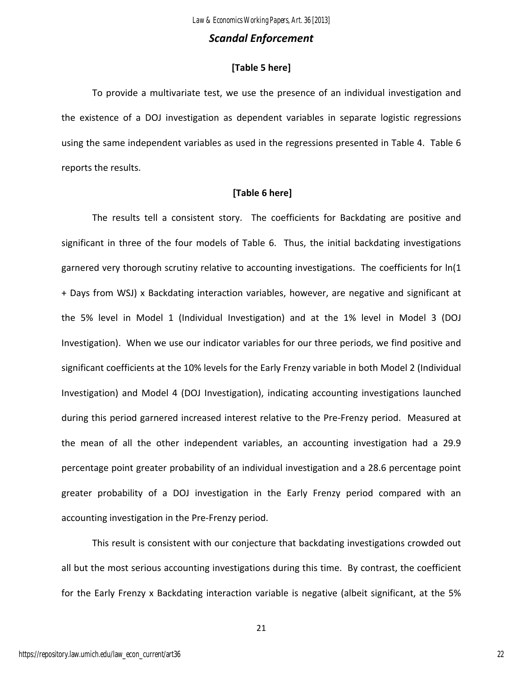## **[Table 5 here]**

To provide a multivariate test, we use the presence of an individual investigation and the existence of a DOJ investigation as dependent variables in separate logistic regressions using the same independent variables as used in the regressions presented in Table 4. Table 6 reports the results.

## **[Table 6 here]**

The results tell a consistent story. The coefficients for Backdating are positive and significant in three of the four models of Table 6. Thus, the initial backdating investigations garnered very thorough scrutiny relative to accounting investigations. The coefficients for ln(1 + Days from WSJ) x Backdating interaction variables, however, are negative and significant at the 5% level in Model 1 (Individual Investigation) and at the 1% level in Model 3 (DOJ Investigation). When we use our indicator variables for our three periods, we find positive and significant coefficients at the 10% levels for the Early Frenzy variable in both Model 2 (Individual Investigation) and Model 4 (DOJ Investigation), indicating accounting investigations launched during this period garnered increased interest relative to the Pre‐Frenzy period. Measured at the mean of all the other independent variables, an accounting investigation had a 29.9 percentage point greater probability of an individual investigation and a 28.6 percentage point greater probability of a DOJ investigation in the Early Frenzy period compared with an accounting investigation in the Pre‐Frenzy period.

This result is consistent with our conjecture that backdating investigations crowded out all but the most serious accounting investigations during this time. By contrast, the coefficient for the Early Frenzy x Backdating interaction variable is negative (albeit significant, at the 5%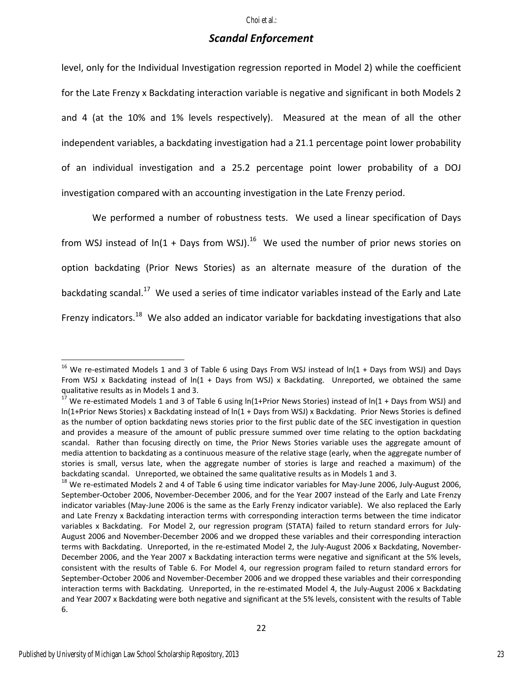level, only for the Individual Investigation regression reported in Model 2) while the coefficient for the Late Frenzy x Backdating interaction variable is negative and significant in both Models 2 and 4 (at the 10% and 1% levels respectively). Measured at the mean of all the other independent variables, a backdating investigation had a 21.1 percentage point lower probability of an individual investigation and a 25.2 percentage point lower probability of a DOJ investigation compared with an accounting investigation in the Late Frenzy period.

We performed a number of robustness tests. We used a linear specification of Days from WSJ instead of  $ln(1 + Days$  from WSJ).<sup>16</sup> We used the number of prior news stories on option backdating (Prior News Stories) as an alternate measure of the duration of the backdating scandal.<sup>17</sup> We used a series of time indicator variables instead of the Early and Late Frenzy indicators.<sup>18</sup> We also added an indicator variable for backdating investigations that also

<sup>&</sup>lt;sup>16</sup> We re-estimated Models 1 and 3 of Table 6 using Days From WSJ instead of  $ln(1 +$  Days from WSJ) and Days From WSJ x Backdating instead of  $ln(1 + Days$  from WSJ) x Backdating. Unreported, we obtained the same qualitative results as in Models 1 and 3.<br><sup>17</sup> We re-estimated Models 1 and 3 of Table 6 using ln(1+Prior News Stories) instead of ln(1 + Days from WSJ) and

ln(1+Prior News Stories) x Backdating instead of ln(1 + Days from WSJ) x Backdating. Prior News Stories is defined as the number of option backdating news stories prior to the first public date of the SEC investigation in question and provides a measure of the amount of public pressure summed over time relating to the option backdating scandal. Rather than focusing directly on time, the Prior News Stories variable uses the aggregate amount of media attention to backdating as a continuous measure of the relative stage (early, when the aggregate number of stories is small, versus late, when the aggregate number of stories is large and reached a maximum) of the backdating scandal. Unreported, we obtained the same qualitative results as in Models 1 and 3.<br><sup>18</sup> We re-estimated Models 2 and 4 of Table 6 using time indicator variables for May-June 2006, July-August 2006,

September‐October 2006, November‐December 2006, and for the Year 2007 instead of the Early and Late Frenzy indicator variables (May‐June 2006 is the same as the Early Frenzy indicator variable). We also replaced the Early and Late Frenzy x Backdating interaction terms with corresponding interaction terms between the time indicator variables x Backdating. For Model 2, our regression program (STATA) failed to return standard errors for July-August 2006 and November‐December 2006 and we dropped these variables and their corresponding interaction terms with Backdating. Unreported, in the re‐estimated Model 2, the July‐August 2006 x Backdating, November‐ December 2006, and the Year 2007 x Backdating interaction terms were negative and significant at the 5% levels, consistent with the results of Table 6. For Model 4, our regression program failed to return standard errors for September‐October 2006 and November‐December 2006 and we dropped these variables and their corresponding interaction terms with Backdating. Unreported, in the re‐estimated Model 4, the July‐August 2006 x Backdating and Year 2007 x Backdating were both negative and significant at the 5% levels, consistent with the results of Table 6.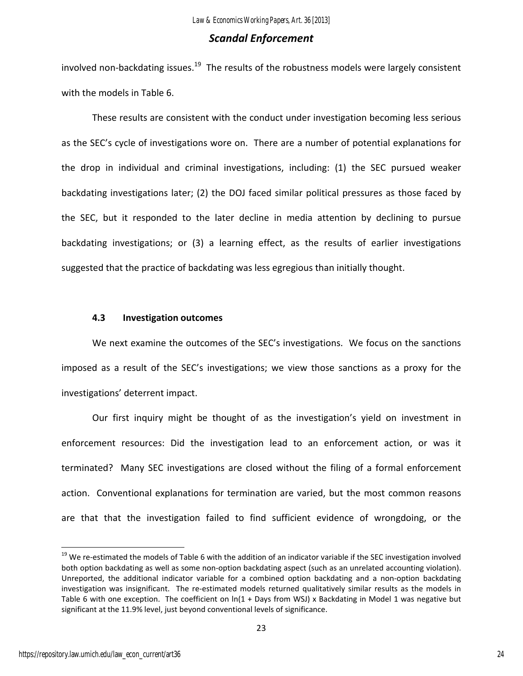involved non-backdating issues.<sup>19</sup> The results of the robustness models were largely consistent with the models in Table 6.

These results are consistent with the conduct under investigation becoming less serious as the SEC's cycle of investigations wore on. There are a number of potential explanations for the drop in individual and criminal investigations, including: (1) the SEC pursued weaker backdating investigations later; (2) the DOJ faced similar political pressures as those faced by the SEC, but it responded to the later decline in media attention by declining to pursue backdating investigations; or (3) a learning effect, as the results of earlier investigations suggested that the practice of backdating was less egregious than initially thought.

#### **4.3 Investigation outcomes**

We next examine the outcomes of the SEC's investigations. We focus on the sanctions imposed as a result of the SEC's investigations; we view those sanctions as a proxy for the investigations' deterrent impact.

Our first inquiry might be thought of as the investigation's yield on investment in enforcement resources: Did the investigation lead to an enforcement action, or was it terminated? Many SEC investigations are closed without the filing of a formal enforcement action. Conventional explanations for termination are varied, but the most common reasons are that that the investigation failed to find sufficient evidence of wrongdoing, or the

<sup>&</sup>lt;sup>19</sup> We re-estimated the models of Table 6 with the addition of an indicator variable if the SEC investigation involved both option backdating as well as some non-option backdating aspect (such as an unrelated accounting violation). Unreported, the additional indicator variable for a combined option backdating and a non‐option backdating investigation was insignificant. The re-estimated models returned qualitatively similar results as the models in Table 6 with one exception. The coefficient on ln(1 + Days from WSJ) x Backdating in Model 1 was negative but significant at the 11.9% level, just beyond conventional levels of significance.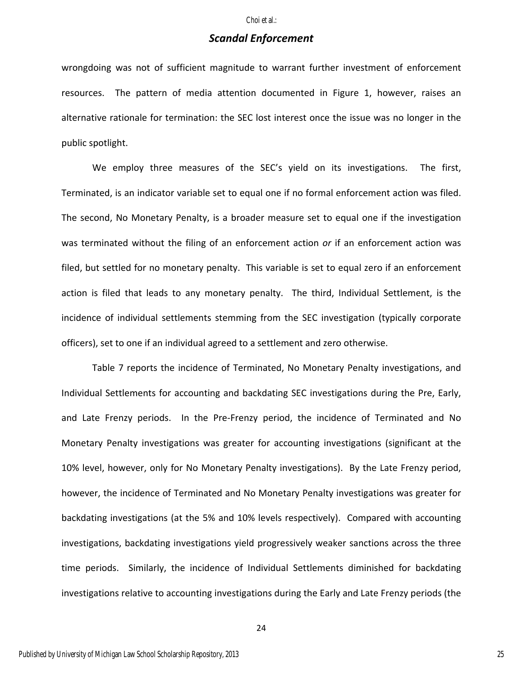wrongdoing was not of sufficient magnitude to warrant further investment of enforcement resources. The pattern of media attention documented in Figure 1, however, raises an alternative rationale for termination: the SEC lost interest once the issue was no longer in the public spotlight.

We employ three measures of the SEC's yield on its investigations. The first, Terminated, is an indicator variable set to equal one if no formal enforcement action was filed. The second, No Monetary Penalty, is a broader measure set to equal one if the investigation was terminated without the filing of an enforcement action *or* if an enforcement action was filed, but settled for no monetary penalty. This variable is set to equal zero if an enforcement action is filed that leads to any monetary penalty. The third, Individual Settlement, is the incidence of individual settlements stemming from the SEC investigation (typically corporate officers), set to one if an individual agreed to a settlement and zero otherwise.

Table 7 reports the incidence of Terminated, No Monetary Penalty investigations, and Individual Settlements for accounting and backdating SEC investigations during the Pre, Early, and Late Frenzy periods. In the Pre-Frenzy period, the incidence of Terminated and No Monetary Penalty investigations was greater for accounting investigations (significant at the 10% level, however, only for No Monetary Penalty investigations). By the Late Frenzy period, however, the incidence of Terminated and No Monetary Penalty investigations was greater for backdating investigations (at the 5% and 10% levels respectively). Compared with accounting investigations, backdating investigations yield progressively weaker sanctions across the three time periods. Similarly, the incidence of Individual Settlements diminished for backdating investigations relative to accounting investigations during the Early and Late Frenzy periods (the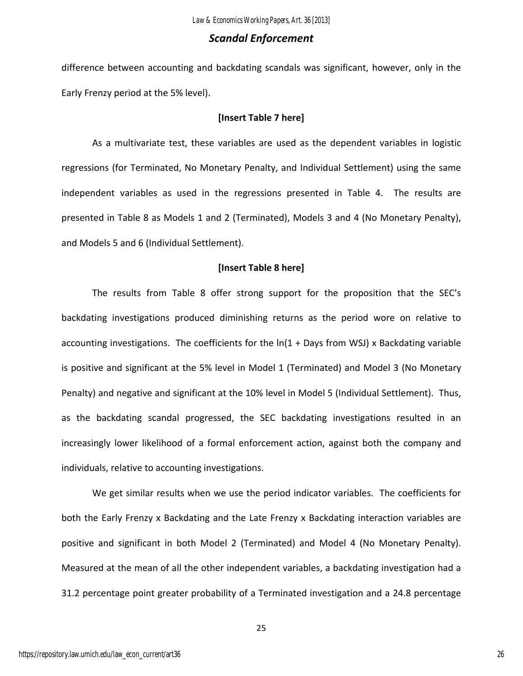difference between accounting and backdating scandals was significant, however, only in the Early Frenzy period at the 5% level).

### **[Insert Table 7 here]**

As a multivariate test, these variables are used as the dependent variables in logistic regressions (for Terminated, No Monetary Penalty, and Individual Settlement) using the same independent variables as used in the regressions presented in Table 4. The results are presented in Table 8 as Models 1 and 2 (Terminated), Models 3 and 4 (No Monetary Penalty), and Models 5 and 6 (Individual Settlement).

### **[Insert Table 8 here]**

The results from Table 8 offer strong support for the proposition that the SEC's backdating investigations produced diminishing returns as the period wore on relative to accounting investigations. The coefficients for the  $ln(1 +$  Days from WSJ) x Backdating variable is positive and significant at the 5% level in Model 1 (Terminated) and Model 3 (No Monetary Penalty) and negative and significant at the 10% level in Model 5 (Individual Settlement). Thus, as the backdating scandal progressed, the SEC backdating investigations resulted in an increasingly lower likelihood of a formal enforcement action, against both the company and individuals, relative to accounting investigations.

We get similar results when we use the period indicator variables. The coefficients for both the Early Frenzy x Backdating and the Late Frenzy x Backdating interaction variables are positive and significant in both Model 2 (Terminated) and Model 4 (No Monetary Penalty). Measured at the mean of all the other independent variables, a backdating investigation had a 31.2 percentage point greater probability of a Terminated investigation and a 24.8 percentage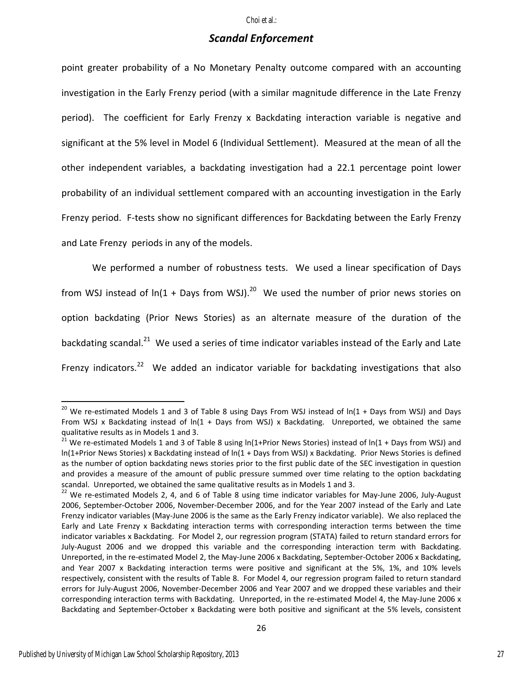point greater probability of a No Monetary Penalty outcome compared with an accounting investigation in the Early Frenzy period (with a similar magnitude difference in the Late Frenzy period). The coefficient for Early Frenzy x Backdating interaction variable is negative and significant at the 5% level in Model 6 (Individual Settlement). Measured at the mean of all the other independent variables, a backdating investigation had a 22.1 percentage point lower probability of an individual settlement compared with an accounting investigation in the Early Frenzy period. F-tests show no significant differences for Backdating between the Early Frenzy and Late Frenzy periods in any of the models.

We performed a number of robustness tests. We used a linear specification of Days from WSJ instead of  $ln(1 + Days$  from WSJ).<sup>20</sup> We used the number of prior news stories on option backdating (Prior News Stories) as an alternate measure of the duration of the backdating scandal.<sup>21</sup> We used a series of time indicator variables instead of the Early and Late Frenzy indicators.<sup>22</sup> We added an indicator variable for backdating investigations that also

 $^{20}$  We re-estimated Models 1 and 3 of Table 8 using Days From WSJ instead of ln(1 + Days from WSJ) and Days From WSJ x Backdating instead of  $ln(1 + Days$  from WSJ) x Backdating. Unreported, we obtained the same qualitative results as in Models 1 and 3.<br><sup>21</sup> We re-estimated Models 1 and 3 of Table 8 using ln(1+Prior News Stories) instead of ln(1 + Days from WSJ) and

ln(1+Prior News Stories) x Backdating instead of ln(1 + Days from WSJ) x Backdating. Prior News Stories is defined as the number of option backdating news stories prior to the first public date of the SEC investigation in question and provides a measure of the amount of public pressure summed over time relating to the option backdating scandal. Unreported, we obtained the same qualitative results as in Models 1 and 3.<br><sup>22</sup> We re-estimated Models 2, 4, and 6 of Table 8 using time indicator variables for May-June 2006, July-August

<sup>2006,</sup> September‐October 2006, November‐December 2006, and for the Year 2007 instead of the Early and Late Frenzy indicator variables (May‐June 2006 is the same as the Early Frenzy indicator variable). We also replaced the Early and Late Frenzy x Backdating interaction terms with corresponding interaction terms between the time indicator variables x Backdating. For Model 2, our regression program (STATA) failed to return standard errors for July‐August 2006 and we dropped this variable and the corresponding interaction term with Backdating. Unreported, in the re‐estimated Model 2, the May‐June 2006 x Backdating, September‐October 2006 x Backdating, and Year 2007 x Backdating interaction terms were positive and significant at the 5%, 1%, and 10% levels respectively, consistent with the results of Table 8. For Model 4, our regression program failed to return standard errors for July‐August 2006, November‐December 2006 and Year 2007 and we dropped these variables and their corresponding interaction terms with Backdating. Unreported, in the re-estimated Model 4, the May-June 2006 x Backdating and September‐October x Backdating were both positive and significant at the 5% levels, consistent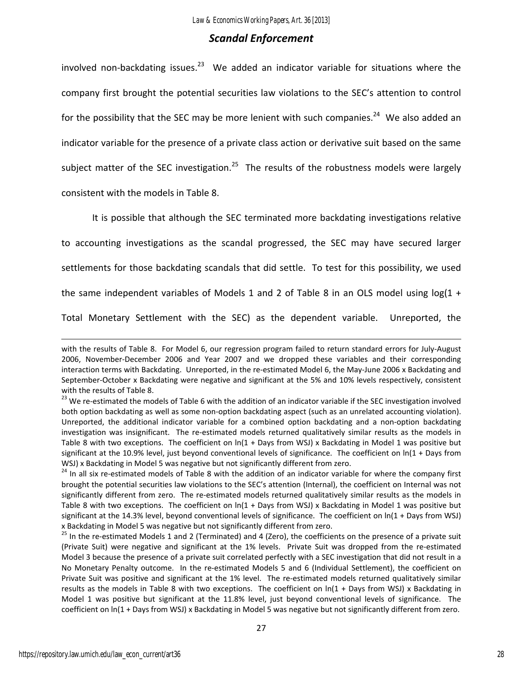involved non-backdating issues.<sup>23</sup> We added an indicator variable for situations where the company first brought the potential securities law violations to the SEC's attention to control for the possibility that the SEC may be more lenient with such companies.<sup>24</sup> We also added an indicator variable for the presence of a private class action or derivative suit based on the same subject matter of the SEC investigation.<sup>25</sup> The results of the robustness models were largely consistent with the models in Table 8.

It is possible that although the SEC terminated more backdating investigations relative

to accounting investigations as the scandal progressed, the SEC may have secured larger

settlements for those backdating scandals that did settle. To test for this possibility, we used

the same independent variables of Models 1 and 2 of Table 8 in an OLS model using  $log(1 +$ 

Total Monetary Settlement with the SEC) as the dependent variable. Unreported, the

<u> 1989 - Johann Stoff, fransk politik (d. 1989)</u>

with the results of Table 8. For Model 6, our regression program failed to return standard errors for July‐August 2006, November‐December 2006 and Year 2007 and we dropped these variables and their corresponding interaction terms with Backdating. Unreported, in the re‐estimated Model 6, the May‐June 2006 x Backdating and September‐October x Backdating were negative and significant at the 5% and 10% levels respectively, consistent

with the results of Table 8.<br><sup>23</sup> We re-estimated the models of Table 6 with the addition of an indicator variable if the SEC investigation involved both option backdating as well as some non‐option backdating aspect (such as an unrelated accounting violation). Unreported, the additional indicator variable for a combined option backdating and a non‐option backdating investigation was insignificant. The re-estimated models returned qualitatively similar results as the models in Table 8 with two exceptions. The coefficient on  $ln(1 + Days$  from WSJ) x Backdating in Model 1 was positive but significant at the 10.9% level, just beyond conventional levels of significance. The coefficient on ln(1 + Days from

WSJ) x Backdating in Model 5 was negative but not significantly different from zero.<br><sup>24</sup> In all six re-estimated models of Table 8 with the addition of an indicator variable for where the company first brought the potential securities law violations to the SEC's attention (Internal), the coefficient on Internal was not significantly different from zero. The re-estimated models returned qualitatively similar results as the models in Table 8 with two exceptions. The coefficient on  $ln(1 + Days$  from WSJ) x Backdating in Model 1 was positive but significant at the 14.3% level, beyond conventional levels of significance. The coefficient on ln(1 + Days from WSJ) x Backdating in Model 5 was negative but not significantly different from zero.<br><sup>25</sup> In the re-estimated Models 1 and 2 (Terminated) and 4 (Zero), the coefficients on the presence of a private suit

<sup>(</sup>Private Suit) were negative and significant at the 1% levels. Private Suit was dropped from the re‐estimated Model 3 because the presence of a private suit correlated perfectly with a SEC investigation that did not result in a No Monetary Penalty outcome. In the re‐estimated Models 5 and 6 (Individual Settlement), the coefficient on Private Suit was positive and significant at the 1% level. The re‐estimated models returned qualitatively similar results as the models in Table 8 with two exceptions. The coefficient on  $ln(1 + Days$  from WSJ) x Backdating in Model 1 was positive but significant at the 11.8% level, just beyond conventional levels of significance. The coefficient on ln(1 + Days from WSJ) x Backdating in Model 5 was negative but not significantly different from zero.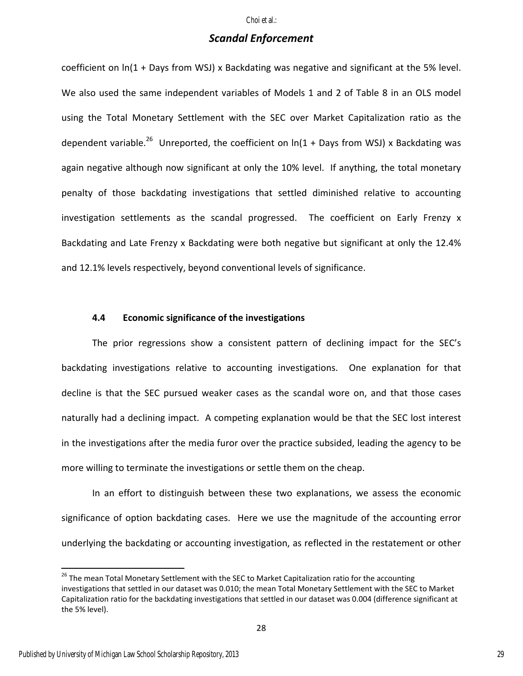coefficient on ln(1 + Days from WSJ) x Backdating was negative and significant at the 5% level. We also used the same independent variables of Models 1 and 2 of Table 8 in an OLS model using the Total Monetary Settlement with the SEC over Market Capitalization ratio as the dependent variable.<sup>26</sup> Unreported, the coefficient on  $ln(1 +$  Days from WSJ) x Backdating was again negative although now significant at only the 10% level. If anything, the total monetary penalty of those backdating investigations that settled diminished relative to accounting investigation settlements as the scandal progressed. The coefficient on Early Frenzy x Backdating and Late Frenzy x Backdating were both negative but significant at only the 12.4% and 12.1% levels respectively, beyond conventional levels of significance.

#### **4.4 Economic significance of the investigations**

The prior regressions show a consistent pattern of declining impact for the SEC's backdating investigations relative to accounting investigations. One explanation for that decline is that the SEC pursued weaker cases as the scandal wore on, and that those cases naturally had a declining impact. A competing explanation would be that the SEC lost interest in the investigations after the media furor over the practice subsided, leading the agency to be more willing to terminate the investigations or settle them on the cheap.

In an effort to distinguish between these two explanations, we assess the economic significance of option backdating cases. Here we use the magnitude of the accounting error underlying the backdating or accounting investigation, as reflected in the restatement or other

<sup>&</sup>lt;sup>26</sup> The mean Total Monetary Settlement with the SEC to Market Capitalization ratio for the accounting investigations that settled in our dataset was 0.010; the mean Total Monetary Settlement with the SEC to Market Capitalization ratio for the backdating investigations that settled in our dataset was 0.004 (difference significant at the 5% level).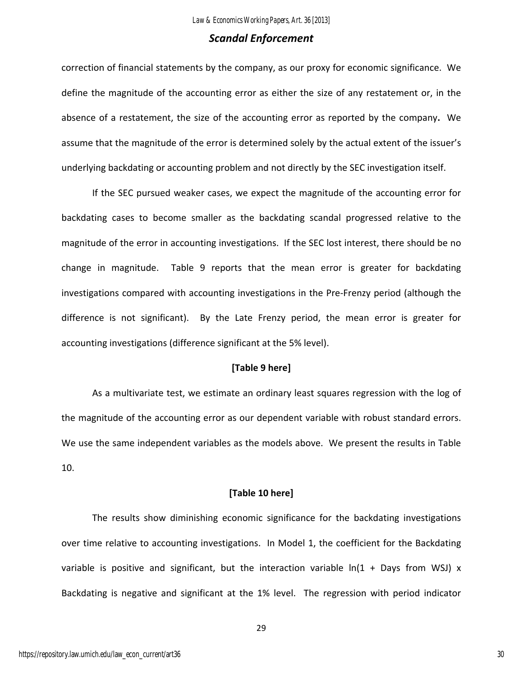correction of financial statements by the company, as our proxy for economic significance. We define the magnitude of the accounting error as either the size of any restatement or, in the absence of a restatement, the size of the accounting error as reported by the company**.** We assume that the magnitude of the error is determined solely by the actual extent of the issuer's underlying backdating or accounting problem and not directly by the SEC investigation itself.

If the SEC pursued weaker cases, we expect the magnitude of the accounting error for backdating cases to become smaller as the backdating scandal progressed relative to the magnitude of the error in accounting investigations. If the SEC lost interest, there should be no change in magnitude. Table 9 reports that the mean error is greater for backdating investigations compared with accounting investigations in the Pre‐Frenzy period (although the difference is not significant). By the Late Frenzy period, the mean error is greater for accounting investigations (difference significant at the 5% level).

## **[Table 9 here]**

As a multivariate test, we estimate an ordinary least squares regression with the log of the magnitude of the accounting error as our dependent variable with robust standard errors. We use the same independent variables as the models above. We present the results in Table 10.

## **[Table 10 here]**

The results show diminishing economic significance for the backdating investigations over time relative to accounting investigations. In Model 1, the coefficient for the Backdating variable is positive and significant, but the interaction variable  $ln(1 +$  Days from WSJ) x Backdating is negative and significant at the 1% level. The regression with period indicator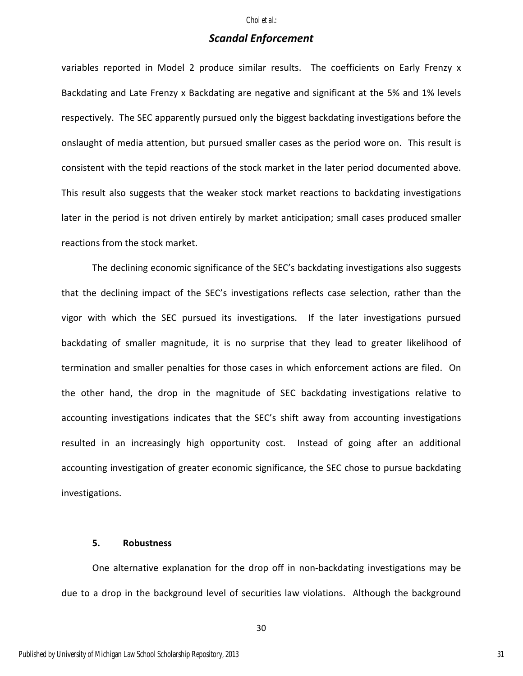## *Scandal Enforcement*

variables reported in Model 2 produce similar results. The coefficients on Early Frenzy x Backdating and Late Frenzy x Backdating are negative and significant at the 5% and 1% levels respectively. The SEC apparently pursued only the biggest backdating investigations before the onslaught of media attention, but pursued smaller cases as the period wore on. This result is consistent with the tepid reactions of the stock market in the later period documented above. This result also suggests that the weaker stock market reactions to backdating investigations later in the period is not driven entirely by market anticipation; small cases produced smaller reactions from the stock market.

The declining economic significance of the SEC's backdating investigations also suggests that the declining impact of the SEC's investigations reflects case selection, rather than the vigor with which the SEC pursued its investigations. If the later investigations pursued backdating of smaller magnitude, it is no surprise that they lead to greater likelihood of termination and smaller penalties for those cases in which enforcement actions are filed. On the other hand, the drop in the magnitude of SEC backdating investigations relative to accounting investigations indicates that the SEC's shift away from accounting investigations resulted in an increasingly high opportunity cost. Instead of going after an additional accounting investigation of greater economic significance, the SEC chose to pursue backdating investigations.

#### **5. Robustness**

One alternative explanation for the drop off in non‐backdating investigations may be due to a drop in the background level of securities law violations. Although the background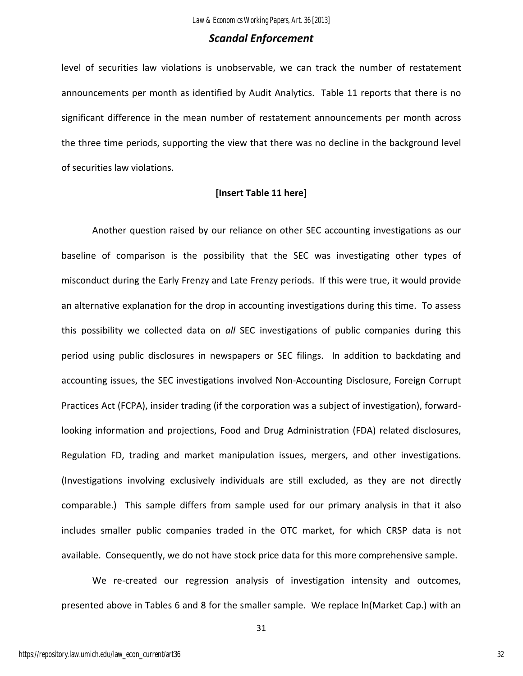level of securities law violations is unobservable, we can track the number of restatement announcements per month as identified by Audit Analytics. Table 11 reports that there is no significant difference in the mean number of restatement announcements per month across the three time periods, supporting the view that there was no decline in the background level of securities law violations.

## **[Insert Table 11 here]**

Another question raised by our reliance on other SEC accounting investigations as our baseline of comparison is the possibility that the SEC was investigating other types of misconduct during the Early Frenzy and Late Frenzy periods. If this were true, it would provide an alternative explanation for the drop in accounting investigations during this time. To assess this possibility we collected data on *all* SEC investigations of public companies during this period using public disclosures in newspapers or SEC filings. In addition to backdating and accounting issues, the SEC investigations involved Non‐Accounting Disclosure, Foreign Corrupt Practices Act (FCPA), insider trading (if the corporation was a subject of investigation), forward‐ looking information and projections, Food and Drug Administration (FDA) related disclosures, Regulation FD, trading and market manipulation issues, mergers, and other investigations. (Investigations involving exclusively individuals are still excluded, as they are not directly comparable.) This sample differs from sample used for our primary analysis in that it also includes smaller public companies traded in the OTC market, for which CRSP data is not available. Consequently, we do not have stock price data for this more comprehensive sample.

We re-created our regression analysis of investigation intensity and outcomes, presented above in Tables 6 and 8 for the smaller sample. We replace ln(Market Cap.) with an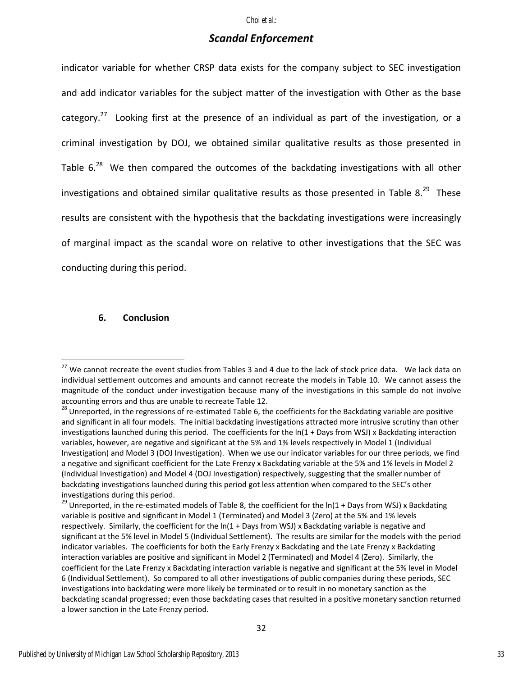indicator variable for whether CRSP data exists for the company subject to SEC investigation and add indicator variables for the subject matter of the investigation with Other as the base category.<sup>27</sup> Looking first at the presence of an individual as part of the investigation, or a criminal investigation by DOJ, we obtained similar qualitative results as those presented in Table  $6^{28}$  We then compared the outcomes of the backdating investigations with all other investigations and obtained similar qualitative results as those presented in Table  $8.^{29}$  These results are consistent with the hypothesis that the backdating investigations were increasingly of marginal impact as the scandal wore on relative to other investigations that the SEC was conducting during this period.

### **6. Conclusion**

 $^{27}$  We cannot recreate the event studies from Tables 3 and 4 due to the lack of stock price data. We lack data on individual settlement outcomes and amounts and cannot recreate the models in Table 10. We cannot assess the magnitude of the conduct under investigation because many of the investigations in this sample do not involve

accounting errors and thus are unable to recreate Table 12.<br><sup>28</sup> Unreported, in the regressions of re-estimated Table 6, the coefficients for the Backdating variable are positive and significant in all four models. The initial backdating investigations attracted more intrusive scrutiny than other investigations launched during this period. The coefficients for the  $ln(1 + Days$  from WSJ) x Backdating interaction variables, however, are negative and significant at the 5% and 1% levels respectively in Model 1 (Individual Investigation) and Model 3 (DOJ Investigation). When we use our indicator variables for our three periods, we find a negative and significant coefficient for the Late Frenzy x Backdating variable at the 5% and 1% levels in Model 2 (Individual Investigation) and Model 4 (DOJ Investigation) respectively, suggesting that the smaller number of backdating investigations launched during this period got less attention when compared to the SEC's other investigations during this period.<br><sup>29</sup> Unreported, in the re-estimated models of Table 8, the coefficient for the ln(1 + Days from WSJ) x Backdating

variable is positive and significant in Model 1 (Terminated) and Model 3 (Zero) at the 5% and 1% levels respectively. Similarly, the coefficient for the ln(1 + Days from WSJ) x Backdating variable is negative and significant at the 5% level in Model 5 (Individual Settlement). The results are similar for the models with the period indicator variables. The coefficients for both the Early Frenzy x Backdating and the Late Frenzy x Backdating interaction variables are positive and significant in Model 2 (Terminated) and Model 4 (Zero). Similarly, the coefficient for the Late Frenzy x Backdating interaction variable is negative and significant at the 5% level in Model 6 (Individual Settlement). So compared to all other investigations of public companies during these periods, SEC investigations into backdating were more likely be terminated or to result in no monetary sanction as the backdating scandal progressed; even those backdating cases that resulted in a positive monetary sanction returned a lower sanction in the Late Frenzy period.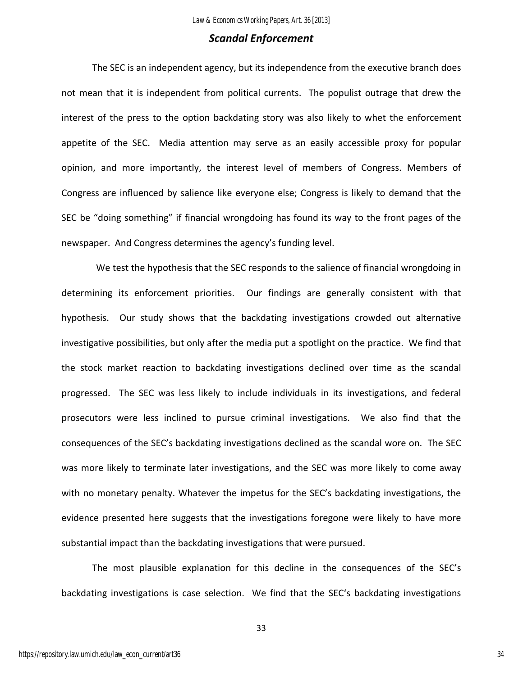The SEC is an independent agency, but its independence from the executive branch does not mean that it is independent from political currents. The populist outrage that drew the interest of the press to the option backdating story was also likely to whet the enforcement appetite of the SEC. Media attention may serve as an easily accessible proxy for popular opinion, and more importantly, the interest level of members of Congress. Members of Congress are influenced by salience like everyone else; Congress is likely to demand that the SEC be "doing something" if financial wrongdoing has found its way to the front pages of the newspaper. And Congress determines the agency's funding level.

We test the hypothesis that the SEC responds to the salience of financial wrongdoing in determining its enforcement priorities. Our findings are generally consistent with that hypothesis. Our study shows that the backdating investigations crowded out alternative investigative possibilities, but only after the media put a spotlight on the practice. We find that the stock market reaction to backdating investigations declined over time as the scandal progressed. The SEC was less likely to include individuals in its investigations, and federal prosecutors were less inclined to pursue criminal investigations. We also find that the consequences of the SEC's backdating investigations declined as the scandal wore on. The SEC was more likely to terminate later investigations, and the SEC was more likely to come away with no monetary penalty. Whatever the impetus for the SEC's backdating investigations, the evidence presented here suggests that the investigations foregone were likely to have more substantial impact than the backdating investigations that were pursued.

The most plausible explanation for this decline in the consequences of the SEC's backdating investigations is case selection. We find that the SEC's backdating investigations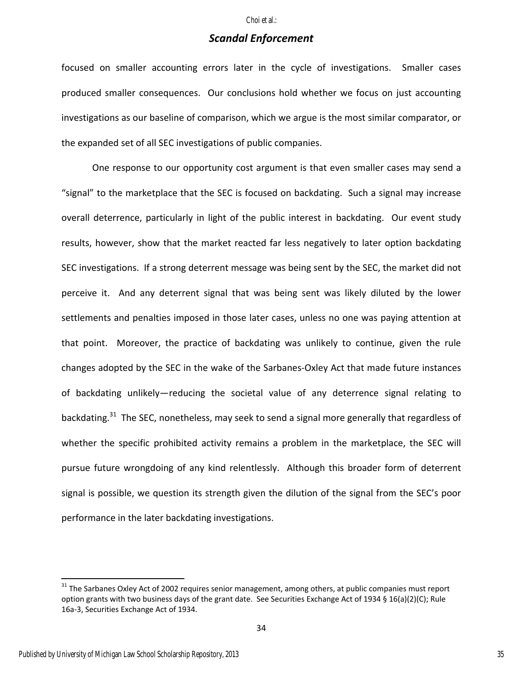## *Scandal Enforcement*

focused on smaller accounting errors later in the cycle of investigations. Smaller cases produced smaller consequences. Our conclusions hold whether we focus on just accounting investigations as our baseline of comparison, which we argue is the most similar comparator, or the expanded set of all SEC investigations of public companies.

One response to our opportunity cost argument is that even smaller cases may send a "signal" to the marketplace that the SEC is focused on backdating. Such a signal may increase overall deterrence, particularly in light of the public interest in backdating. Our event study results, however, show that the market reacted far less negatively to later option backdating SEC investigations. If a strong deterrent message was being sent by the SEC, the market did not perceive it. And any deterrent signal that was being sent was likely diluted by the lower settlements and penalties imposed in those later cases, unless no one was paying attention at that point. Moreover, the practice of backdating was unlikely to continue, given the rule changes adopted by the SEC in the wake of the Sarbanes‐Oxley Act that made future instances of backdating unlikely—reducing the societal value of any deterrence signal relating to backdating.<sup>31</sup> The SEC, nonetheless, may seek to send a signal more generally that regardless of whether the specific prohibited activity remains a problem in the marketplace, the SEC will pursue future wrongdoing of any kind relentlessly. Although this broader form of deterrent signal is possible, we question its strength given the dilution of the signal from the SEC's poor performance in the later backdating investigations.

<sup>&</sup>lt;sup>31</sup> The Sarbanes Oxley Act of 2002 requires senior management, among others, at public companies must report option grants with two business days of the grant date. See Securities Exchange Act of 1934 § 16(a)(2)(C); Rule 16a‐3, Securities Exchange Act of 1934.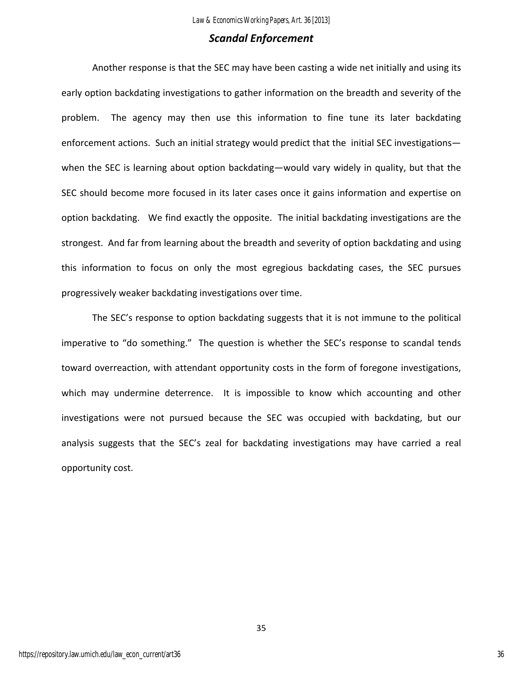Another response is that the SEC may have been casting a wide net initially and using its early option backdating investigations to gather information on the breadth and severity of the problem. The agency may then use this information to fine tune its later backdating enforcement actions. Such an initial strategy would predict that the initial SEC investigationswhen the SEC is learning about option backdating—would vary widely in quality, but that the SEC should become more focused in its later cases once it gains information and expertise on option backdating. We find exactly the opposite. The initial backdating investigations are the strongest. And far from learning about the breadth and severity of option backdating and using this information to focus on only the most egregious backdating cases, the SEC pursues progressively weaker backdating investigations over time.

The SEC's response to option backdating suggests that it is not immune to the political imperative to "do something." The question is whether the SEC's response to scandal tends toward overreaction, with attendant opportunity costs in the form of foregone investigations, which may undermine deterrence. It is impossible to know which accounting and other investigations were not pursued because the SEC was occupied with backdating, but our analysis suggests that the SEC's zeal for backdating investigations may have carried a real opportunity cost.

https://repository.law.umich.edu/law\_econ\_current/art36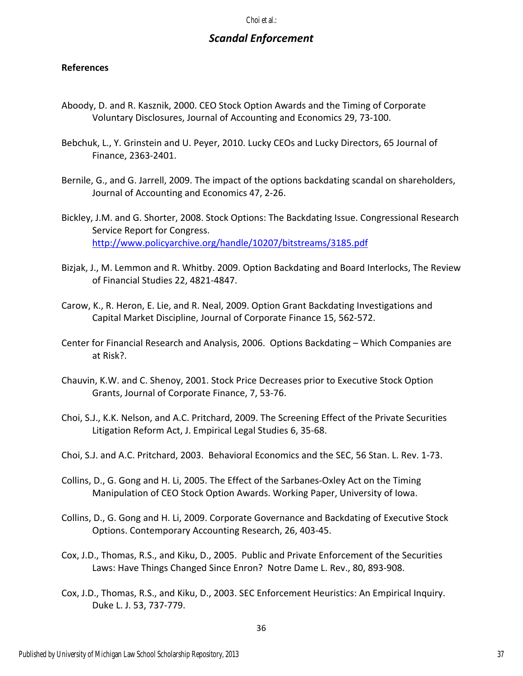## **References**

- Aboody, D. and R. Kasznik, 2000. CEO Stock Option Awards and the Timing of Corporate Voluntary Disclosures, Journal of Accounting and Economics 29, 73‐100.
- Bebchuk, L., Y. Grinstein and U. Peyer, 2010. Lucky CEOs and Lucky Directors, 65 Journal of Finance, 2363‐2401.
- Bernile, G., and G. Jarrell, 2009. The impact of the options backdating scandal on shareholders, Journal of Accounting and Economics 47, 2‐26.
- Bickley, J.M. and G. Shorter, 2008. Stock Options: The Backdating Issue. Congressional Research Service Report for Congress. http://www.policyarchive.org/handle/10207/bitstreams/3185.pdf
- Bizjak, J., M. Lemmon and R. Whitby. 2009. Option Backdating and Board Interlocks, The Review of Financial Studies 22, 4821‐4847.
- Carow, K., R. Heron, E. Lie, and R. Neal, 2009. Option Grant Backdating Investigations and Capital Market Discipline, Journal of Corporate Finance 15, 562‐572.
- Center for Financial Research and Analysis, 2006. Options Backdating Which Companies are at Risk?.
- Chauvin, K.W. and C. Shenoy, 2001. Stock Price Decreases prior to Executive Stock Option Grants, Journal of Corporate Finance, 7, 53‐76.
- Choi, S.J., K.K. Nelson, and A.C. Pritchard, 2009. The Screening Effect of the Private Securities Litigation Reform Act, J. Empirical Legal Studies 6, 35‐68.
- Choi, S.J. and A.C. Pritchard, 2003. Behavioral Economics and the SEC, 56 Stan. L. Rev. 1‐73.
- Collins, D., G. Gong and H. Li, 2005. The Effect of the Sarbanes‐Oxley Act on the Timing Manipulation of CEO Stock Option Awards. Working Paper, University of Iowa.
- Collins, D., G. Gong and H. Li, 2009. Corporate Governance and Backdating of Executive Stock Options. Contemporary Accounting Research, 26, 403‐45.
- Cox, J.D., Thomas, R.S., and Kiku, D., 2005. Public and Private Enforcement of the Securities Laws: Have Things Changed Since Enron? Notre Dame L. Rev., 80, 893‐908.
- Cox, J.D., Thomas, R.S., and Kiku, D., 2003. SEC Enforcement Heuristics: An Empirical Inquiry. Duke L. J. 53, 737‐779.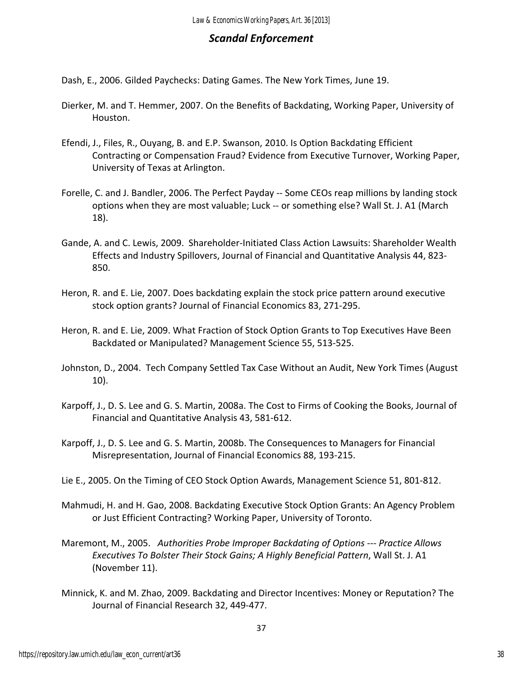Dash, E., 2006. Gilded Paychecks: Dating Games. The New York Times, June 19.

- Dierker, M. and T. Hemmer, 2007. On the Benefits of Backdating, Working Paper, University of Houston.
- Efendi, J., Files, R., Ouyang, B. and E.P. Swanson, 2010. Is Option Backdating Efficient Contracting or Compensation Fraud? Evidence from Executive Turnover, Working Paper, University of Texas at Arlington.
- Forelle, C. and J. Bandler, 2006. The Perfect Payday -- Some CEOs reap millions by landing stock options when they are most valuable; Luck ‐‐ or something else? Wall St. J. A1 (March 18).
- Gande, A. and C. Lewis, 2009. Shareholder‐Initiated Class Action Lawsuits: Shareholder Wealth Effects and Industry Spillovers, Journal of Financial and Quantitative Analysis 44, 823‐ 850.
- Heron, R. and E. Lie, 2007. Does backdating explain the stock price pattern around executive stock option grants? Journal of Financial Economics 83, 271‐295.
- Heron, R. and E. Lie, 2009. What Fraction of Stock Option Grants to Top Executives Have Been Backdated or Manipulated? Management Science 55, 513‐525.
- Johnston, D., 2004. Tech Company Settled Tax Case Without an Audit, New York Times (August 10).
- Karpoff, J., D. S. Lee and G. S. Martin, 2008a. The Cost to Firms of Cooking the Books, Journal of Financial and Quantitative Analysis 43, 581‐612.
- Karpoff, J., D. S. Lee and G. S. Martin, 2008b. The Consequences to Managers for Financial Misrepresentation, Journal of Financial Economics 88, 193‐215.
- Lie E., 2005. On the Timing of CEO Stock Option Awards, Management Science 51, 801‐812.
- Mahmudi, H. and H. Gao, 2008. Backdating Executive Stock Option Grants: An Agency Problem or Just Efficient Contracting? Working Paper, University of Toronto.
- Maremont, M., 2005. *Authorities Probe Improper Backdating of Options ‐‐‐ Practice Allows Executives To Bolster Their Stock Gains; A Highly Beneficial Pattern*, Wall St. J. A1 (November 11).
- Minnick, K. and M. Zhao, 2009. Backdating and Director Incentives: Money or Reputation? The Journal of Financial Research 32, 449‐477.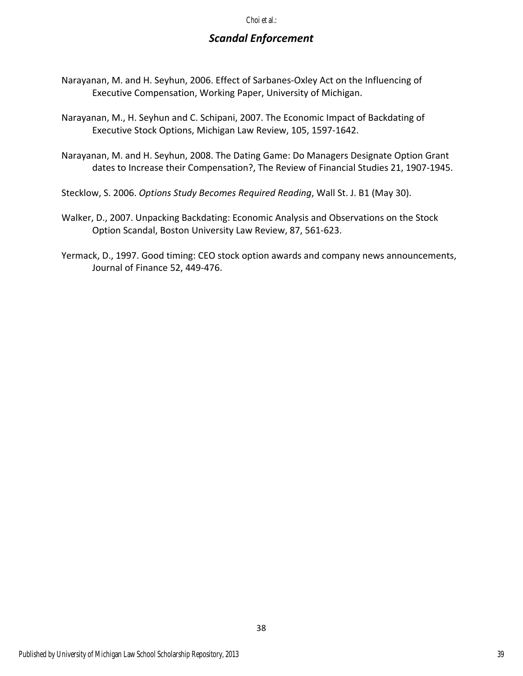- Narayanan, M. and H. Seyhun, 2006. Effect of Sarbanes‐Oxley Act on the Influencing of Executive Compensation, Working Paper, University of Michigan.
- Narayanan, M., H. Seyhun and C. Schipani, 2007. The Economic Impact of Backdating of Executive Stock Options, Michigan Law Review, 105, 1597‐1642.
- Narayanan, M. and H. Seyhun, 2008. The Dating Game: Do Managers Designate Option Grant dates to Increase their Compensation?, The Review of Financial Studies 21, 1907‐1945.
- Stecklow, S. 2006. *Options Study Becomes Required Reading*, Wall St. J. B1 (May 30).
- Walker, D., 2007. Unpacking Backdating: Economic Analysis and Observations on the Stock Option Scandal, Boston University Law Review, 87, 561‐623.
- Yermack, D., 1997. Good timing: CEO stock option awards and company news announcements, Journal of Finance 52, 449‐476.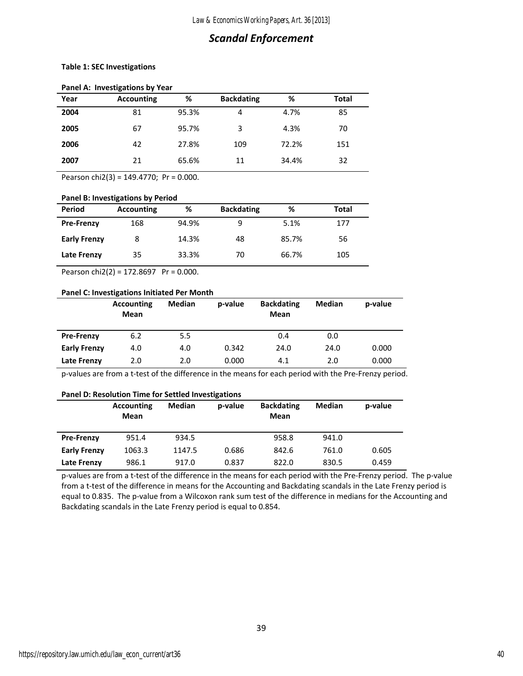#### **Table 1: SEC Investigations**

|      | r aller A. Illvestigations by Tear |       |                   |       |              |  |
|------|------------------------------------|-------|-------------------|-------|--------------|--|
| Year | <b>Accounting</b>                  | %     | <b>Backdating</b> | %     | <b>Total</b> |  |
| 2004 | 81                                 | 95.3% | 4                 | 4.7%  | 85           |  |
| 2005 | 67                                 | 95.7% | 3                 | 4.3%  | 70           |  |
| 2006 | 42                                 | 27.8% | 109               | 72.2% | 151          |  |
| 2007 | 21                                 | 65.6% | 11                | 34.4% | 32           |  |
|      |                                    |       |                   |       |              |  |

**Panel A: Investigations by Year**

Pearson chi2(3) = 149.4770; Pr = 0.000.

#### **Panel B: Investigations by Period**

| Period              | <b>Accounting</b> | %     | <b>Backdating</b> | %     | Total |
|---------------------|-------------------|-------|-------------------|-------|-------|
| <b>Pre-Frenzy</b>   | 168               | 94.9% | 9                 | 5.1%  | 177   |
| <b>Early Frenzy</b> |                   | 14.3% | 48                | 85.7% | 56    |
| <b>Late Frenzy</b>  | 35                | 33.3% | 70                | 66.7% | 105   |

Pearson chi2(2) = 172.8697 Pr = 0.000.

#### **Panel C: Investigations Initiated Per Month**

|                     | <b>Accounting</b><br>Mean | Median | p-value | <b>Backdating</b><br>Mean | Median | p-value |
|---------------------|---------------------------|--------|---------|---------------------------|--------|---------|
| <b>Pre-Frenzy</b>   | 6.2                       | 5.5    |         | 0.4                       | 0.0    |         |
| <b>Early Frenzy</b> | 4.0                       | 4.0    | 0.342   | 24.0                      | 24.0   | 0.000   |
| <b>Late Frenzy</b>  | 2.0                       | 2.0    | 0.000   | 4.1                       | 2.0    | 0.000   |

p-values are from a t-test of the difference in the means for each period with the Pre-Frenzy period.

## **Panel D: Resolution Time for Settled Investigations**

|                     | <b>Accounting</b><br>Mean | <b>Median</b> | p-value | <b>Backdating</b><br>Mean | <b>Median</b> | p-value |
|---------------------|---------------------------|---------------|---------|---------------------------|---------------|---------|
| <b>Pre-Frenzy</b>   | 951.4                     | 934.5         |         | 958.8                     | 941.0         |         |
| <b>Early Frenzy</b> | 1063.3                    | 1147.5        | 0.686   | 842.6                     | 761.0         | 0.605   |
| Late Frenzy         | 986.1                     | 917.0         | 0.837   | 822.0                     | 830.5         | 0.459   |

p-values are from a t-test of the difference in the means for each period with the Pre-Frenzy period. The p-value from a t-test of the difference in means for the Accounting and Backdating scandals in the Late Frenzy period is equal to 0.835. The p-value from a Wilcoxon rank sum test of the difference in medians for the Accounting and Backdating scandals in the Late Frenzy period is equal to 0.854.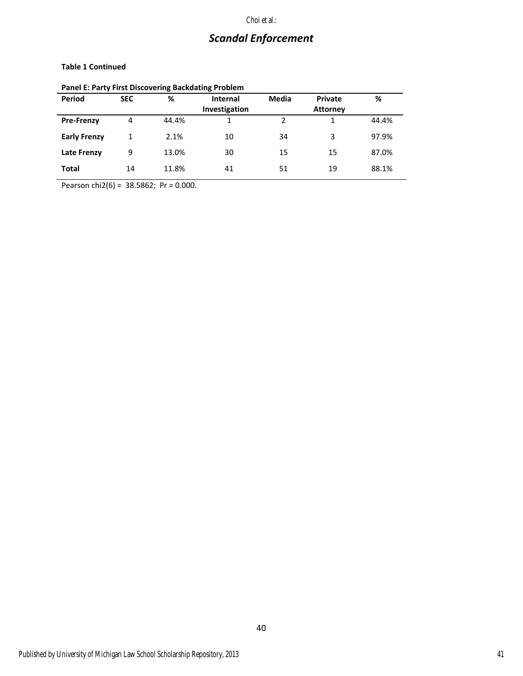40

**Table 1 Continued**

| Panel E. Party First Discovering Backgating Problem |            |       |                 |       |                 |       |
|-----------------------------------------------------|------------|-------|-----------------|-------|-----------------|-------|
| Period                                              | <b>SEC</b> | %     | <b>Internal</b> | Media | Private         | %     |
|                                                     |            |       | Investigation   |       | <b>Attorney</b> |       |
| <b>Pre-Frenzy</b>                                   | 4          | 44.4% |                 | 2     |                 | 44.4% |
| <b>Early Frenzy</b>                                 |            | 2.1%  | 10              | 34    | 3               | 97.9% |
| <b>Late Frenzy</b>                                  | 9          | 13.0% | 30              | 15    | 15              | 87.0% |
| <b>Total</b>                                        | 14         | 11.8% | 41              | 51    | 19              | 88.1% |

**Panel E: Party First Discovering Backdating Problem**

Pearson chi2(6) =  $38.5862$ ; Pr = 0.000.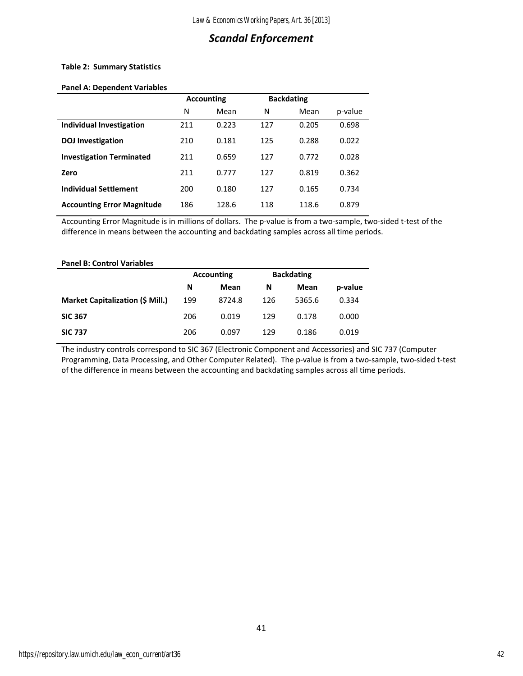#### **Table 2: Summary Statistics**

#### **Panel A: Dependent Variables**

|                                   | <b>Accounting</b> |       | <b>Backdating</b> |       |         |
|-----------------------------------|-------------------|-------|-------------------|-------|---------|
|                                   | Ν                 | Mean  | N                 | Mean  | p-value |
| Individual Investigation          | 211               | 0.223 | 127               | 0.205 | 0.698   |
| <b>DOJ</b> Investigation          | 210               | 0.181 | 125               | 0.288 | 0.022   |
| <b>Investigation Terminated</b>   | 211               | 0.659 | 127               | 0.772 | 0.028   |
| Zero                              | 211               | 0.777 | 127               | 0.819 | 0.362   |
| <b>Individual Settlement</b>      | 200               | 0.180 | 127               | 0.165 | 0.734   |
| <b>Accounting Error Magnitude</b> | 186               | 128.6 | 118               | 118.6 | 0.879   |

Accounting Error Magnitude is in millions of dollars. The p-value is from a two-sample, two-sided t-test of the difference in means between the accounting and backdating samples across all time periods.

### **Panel B: Control Variables**

|                                  | <b>Accounting</b> |        | <b>Backdating</b> |        |         |
|----------------------------------|-------------------|--------|-------------------|--------|---------|
|                                  | N                 | Mean   | N                 | Mean   | p-value |
| Market Capitalization (\$ Mill.) | 199               | 8724.8 | 126               | 5365.6 | 0.334   |
| <b>SIC 367</b>                   | 206               | 0.019  | 129               | 0.178  | 0.000   |
| <b>SIC 737</b>                   | 206               | 0.097  | 129               | 0.186  | 0.019   |

The industry controls correspond to SIC 367 (Electronic Component and Accessories) and SIC 737 (Computer Programming, Data Processing, and Other Computer Related). The p-value is from a two-sample, two-sided t-test of the difference in means between the accounting and backdating samples across all time periods.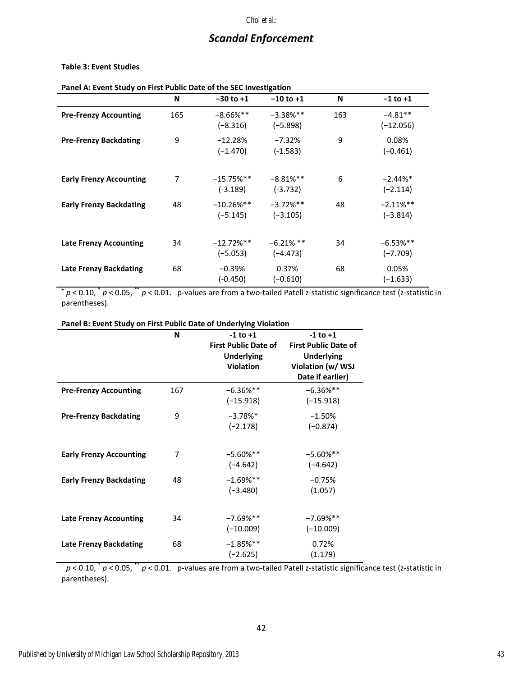#### **Table 3: Event Studies**

| Panel A: Event Study on First Public Date of the SEC Investigation |     |                             |                            |     |                           |  |
|--------------------------------------------------------------------|-----|-----------------------------|----------------------------|-----|---------------------------|--|
|                                                                    | N   | $-30$ to $+1$               | $-10$ to $+1$              | N   | $-1$ to $+1$              |  |
| <b>Pre-Frenzy Accounting</b>                                       | 165 | $-8.66%$ **<br>$(-8.316)$   | $-3.38%$ **<br>$(-5.898)$  | 163 | $-4.81**$<br>(-12.056)    |  |
| <b>Pre-Frenzy Backdating</b>                                       | 9   | $-12.28%$<br>$(-1.470)$     | $-7.32%$<br>$(-1.583)$     | 9   | 0.08%<br>$(-0.461)$       |  |
| <b>Early Frenzy Accounting</b>                                     | 7   | $-15.75%$ **<br>$(-3.189)$  | $-8.81\%**$<br>$(-3.732)$  | 6   | $-2.44\%*$<br>$(-2.114)$  |  |
| <b>Early Frenzy Backdating</b>                                     | 48  | $-10.26\%$ **<br>$(-5.145)$ | $-3.72%$ **<br>$(-3.105)$  | 48  | $-2.11\%**$<br>$(-3.814)$ |  |
| <b>Late Frenzy Accounting</b>                                      | 34  | $-12.72%$ **<br>$(-5.053)$  | $-6.21\%$ **<br>$(-4.473)$ | 34  | $-6.53%$ **<br>$(-7.709)$ |  |
| Late Frenzy Backdating                                             | 68  | $-0.39%$<br>$(-0.450)$      | 0.37%<br>$(-0.610)$        | 68  | 0.05%<br>$(-1.633)$       |  |

<sup>+</sup> *p* < 0.10, \* *p* < 0.05, \*\* *p* < 0.01. p‐values are from a two‐tailed Patell z‐statistic significance test (z‐statistic in parentheses).

| Panel B: Event Study on First Public Date of Underlying Violation |     |                                                                                      |                                                                                                           |  |  |
|-------------------------------------------------------------------|-----|--------------------------------------------------------------------------------------|-----------------------------------------------------------------------------------------------------------|--|--|
|                                                                   | N   | $-1$ to $+1$<br><b>First Public Date of</b><br><b>Underlying</b><br><b>Violation</b> | $-1$ to $+1$<br><b>First Public Date of</b><br><b>Underlying</b><br>Violation (w/ WSJ<br>Date if earlier) |  |  |
| <b>Pre-Frenzy Accounting</b>                                      | 167 | $-6.36%$ **<br>$(-15.918)$                                                           | $-6.36%$ **<br>$(-15.918)$                                                                                |  |  |
| <b>Pre-Frenzy Backdating</b>                                      | 9   | $-3.78%$ *<br>$(-2.178)$                                                             | $-1.50%$<br>$(-0.874)$                                                                                    |  |  |
| <b>Early Frenzy Accounting</b>                                    | 7   | $-5.60%$ **<br>$(-4.642)$                                                            | $-5.60\%**$<br>$(-4.642)$                                                                                 |  |  |
| <b>Early Frenzy Backdating</b>                                    | 48  | $-1.69%$ **<br>$(-3.480)$                                                            | $-0.75%$<br>(1.057)                                                                                       |  |  |
| <b>Late Frenzy Accounting</b>                                     | 34  | $-7.69%$ **<br>$(-10.009)$                                                           | $-7.69%$ **<br>$(-10.009)$                                                                                |  |  |
| Late Frenzy Backdating                                            | 68  | $-1.85%$ **<br>$(-2.625)$                                                            | 0.72%<br>(1.179)                                                                                          |  |  |

**Panel B: Event Study on First Public Date of Underlying Violation**

+ *p* < 0.10,  $*$  *p* < 0.05,  $*$  <sup>\*</sup> *p* < 0.01. p-values are from a two-tailed Patell z-statistic significance test (z-statistic in parentheses).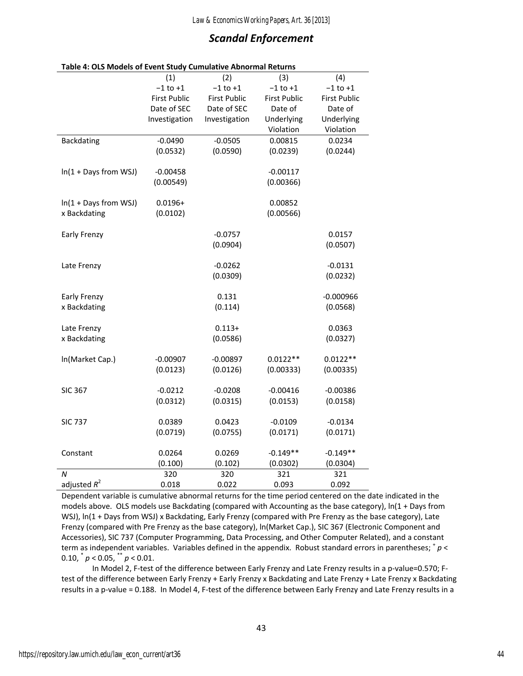|                                                     | (1)                                | (2)                                                    | (3)                                                      | (4)                                                      |
|-----------------------------------------------------|------------------------------------|--------------------------------------------------------|----------------------------------------------------------|----------------------------------------------------------|
|                                                     | $-1$ to $+1$                       |                                                        |                                                          | $-1$ to $+1$                                             |
|                                                     |                                    | $-1$ to $+1$                                           | $-1$ to $+1$                                             |                                                          |
|                                                     | <b>First Public</b>                | <b>First Public</b>                                    | <b>First Public</b>                                      | <b>First Public</b>                                      |
|                                                     | Date of SEC                        | Date of SEC                                            | Date of                                                  | Date of                                                  |
|                                                     | Investigation                      | Investigation                                          | Underlying                                               | Underlying                                               |
|                                                     |                                    |                                                        | Violation                                                | Violation                                                |
| <b>Backdating</b>                                   | $-0.0490$                          | $-0.0505$                                              | 0.00815                                                  | 0.0234                                                   |
|                                                     | (0.0532)                           | (0.0590)                                               | (0.0239)                                                 | (0.0244)                                                 |
|                                                     |                                    |                                                        |                                                          |                                                          |
| $ln(1 +$ Days from WSJ)                             | $-0.00458$                         |                                                        | $-0.00117$                                               |                                                          |
|                                                     | (0.00549)                          |                                                        | (0.00366)                                                |                                                          |
|                                                     |                                    |                                                        |                                                          |                                                          |
| $ln(1 +$ Days from WSJ)                             | $0.0196 +$                         |                                                        | 0.00852                                                  |                                                          |
| x Backdating                                        | (0.0102)                           |                                                        | (0.00566)                                                |                                                          |
|                                                     |                                    |                                                        |                                                          |                                                          |
| Early Frenzy                                        |                                    | $-0.0757$                                              |                                                          | 0.0157                                                   |
|                                                     |                                    | (0.0904)                                               |                                                          | (0.0507)                                                 |
|                                                     |                                    |                                                        |                                                          |                                                          |
| Late Frenzy                                         |                                    | $-0.0262$                                              |                                                          | $-0.0131$                                                |
|                                                     |                                    | (0.0309)                                               |                                                          |                                                          |
|                                                     |                                    |                                                        |                                                          | (0.0232)                                                 |
|                                                     |                                    | 0.131                                                  |                                                          | $-0.000966$                                              |
| Early Frenzy                                        |                                    |                                                        |                                                          |                                                          |
| x Backdating                                        |                                    | (0.114)                                                |                                                          | (0.0568)                                                 |
|                                                     |                                    |                                                        |                                                          |                                                          |
| Late Frenzy                                         |                                    | $0.113+$                                               |                                                          | 0.0363                                                   |
| x Backdating                                        |                                    | (0.0586)                                               |                                                          | (0.0327)                                                 |
|                                                     |                                    |                                                        |                                                          |                                                          |
|                                                     |                                    |                                                        |                                                          |                                                          |
|                                                     |                                    |                                                        |                                                          |                                                          |
|                                                     |                                    |                                                        |                                                          |                                                          |
|                                                     | $-0.0212$                          |                                                        |                                                          |                                                          |
|                                                     |                                    |                                                        |                                                          |                                                          |
|                                                     |                                    |                                                        |                                                          |                                                          |
| <b>SIC 737</b>                                      | 0.0389                             | 0.0423                                                 | $-0.0109$                                                | $-0.0134$                                                |
|                                                     | (0.0719)                           | (0.0755)                                               | (0.0171)                                                 | (0.0171)                                                 |
|                                                     |                                    |                                                        |                                                          |                                                          |
| Constant                                            | 0.0264                             | 0.0269                                                 | $-0.149**$                                               | $-0.149**$                                               |
|                                                     | (0.100)                            | (0.102)                                                | (0.0302)                                                 | (0.0304)                                                 |
| $\boldsymbol{\mathsf{N}}$                           | 320                                |                                                        |                                                          |                                                          |
|                                                     | 0.018                              | 0.022                                                  | 0.093                                                    | 0.092                                                    |
| In(Market Cap.)<br><b>SIC 367</b><br>adjusted $R^2$ | $-0.00907$<br>(0.0123)<br>(0.0312) | $-0.00897$<br>(0.0126)<br>$-0.0208$<br>(0.0315)<br>320 | $0.0122**$<br>(0.00333)<br>$-0.00416$<br>(0.0153)<br>321 | $0.0122**$<br>(0.00335)<br>$-0.00386$<br>(0.0158)<br>321 |

**Table 4: OLS Models of Event Study Cumulative Abnormal Returns**

Dependent variable is cumulative abnormal returns for the time period centered on the date indicated in the models above. OLS models use Backdating (compared with Accounting as the base category), ln(1 + Days from WSJ), ln(1 + Days from WSJ) x Backdating, Early Frenzy (compared with Pre Frenzy as the base category), Late Frenzy (compared with Pre Frenzy as the base category), ln(Market Cap.), SIC 367 (Electronic Component and Accessories), SIC 737 (Computer Programming, Data Processing, and Other Computer Related), and a constant term as independent variables. Variables defined in the appendix. Robust standard errors in parentheses;  $p <$ 0.10,  $p < 0.05$ ,  $p < 0.01$ .

In Model 2, F-test of the difference between Early Frenzy and Late Frenzy results in a p-value=0.570; Ftest of the difference between Early Frenzy + Early Frenzy x Backdating and Late Frenzy + Late Frenzy x Backdating results in a p-value = 0.188. In Model 4, F-test of the difference between Early Frenzy and Late Frenzy results in a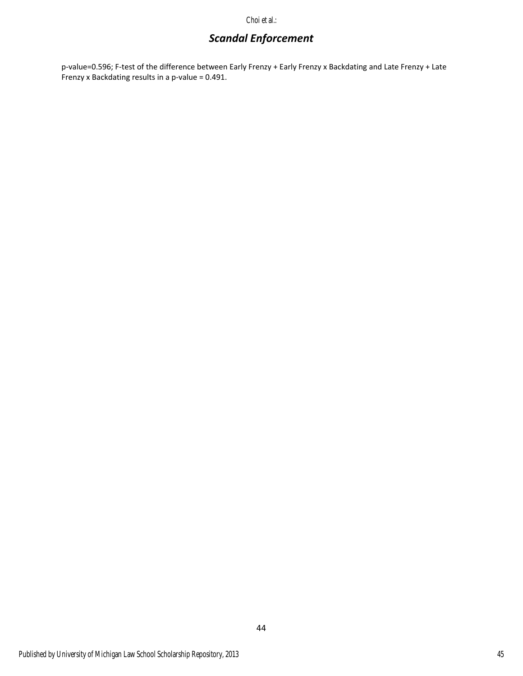p-value=0.596; F-test of the difference between Early Frenzy + Early Frenzy x Backdating and Late Frenzy + Late Frenzy x Backdating results in a p-value = 0.491.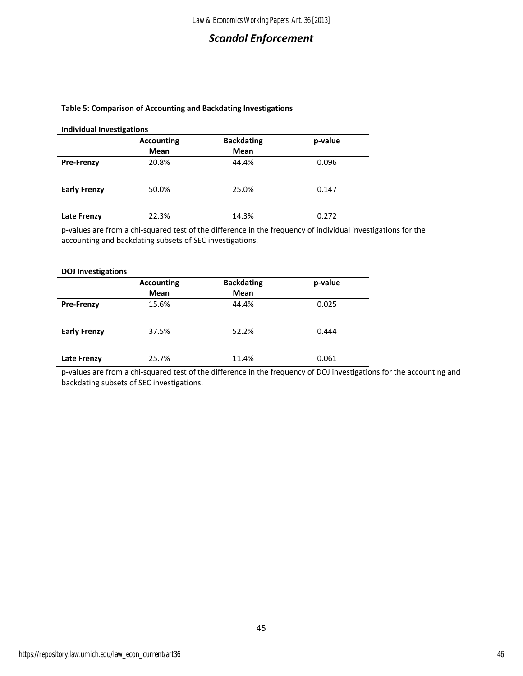### **Table 5: Comparison of Accounting and Backdating Investigations**

#### **Individual Investigations**

|                     | <b>Accounting</b><br>Mean | <b>Backdating</b><br><b>Mean</b> | p-value |
|---------------------|---------------------------|----------------------------------|---------|
| <b>Pre-Frenzy</b>   | 20.8%                     | 44.4%                            | 0.096   |
| <b>Early Frenzy</b> | 50.0%                     | 25.0%                            | 0.147   |
| <b>Late Frenzy</b>  | 22.3%                     | 14.3%                            | 0.272   |

p-values are from a chi-squared test of the difference in the frequency of individual investigations for the accounting and backdating subsets of SEC investigations.

#### **DOJ Investigations**

|                     | <b>Accounting</b> | <b>Backdating</b> | p-value |
|---------------------|-------------------|-------------------|---------|
|                     | Mean              | Mean              |         |
| <b>Pre-Frenzy</b>   | 15.6%             | 44.4%             | 0.025   |
| <b>Early Frenzy</b> | 37.5%             | 52.2%             | 0.444   |
| Late Frenzy         | 25.7%             | 11.4%             | 0.061   |

p-values are from a chi-squared test of the difference in the frequency of DOJ investigations for the accounting and backdating subsets of SEC investigations.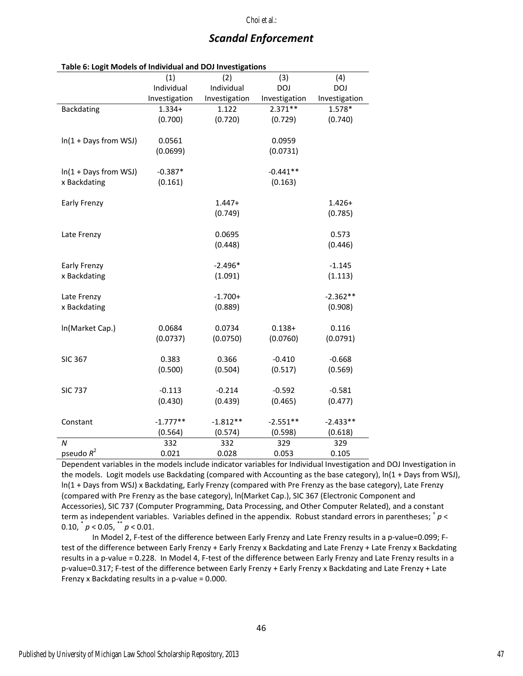|                           | (1)           | (2)           | (3)           | (4)           |
|---------------------------|---------------|---------------|---------------|---------------|
|                           | Individual    | Individual    | DOJ           | <b>DOJ</b>    |
|                           | Investigation | Investigation | Investigation | Investigation |
| Backdating                | $1.334+$      | 1.122         | $2.371**$     | 1.578*        |
|                           | (0.700)       | (0.720)       | (0.729)       | (0.740)       |
|                           |               |               |               |               |
| $ln(1 +$ Days from WSJ)   | 0.0561        |               | 0.0959        |               |
|                           | (0.0699)      |               | (0.0731)      |               |
|                           |               |               |               |               |
| $ln(1 +$ Days from WSJ)   | $-0.387*$     |               | $-0.441**$    |               |
| x Backdating              | (0.161)       |               | (0.163)       |               |
|                           |               |               |               |               |
| Early Frenzy              |               | $1.447+$      |               | $1.426+$      |
|                           |               | (0.749)       |               | (0.785)       |
| Late Frenzy               |               | 0.0695        |               | 0.573         |
|                           |               | (0.448)       |               | (0.446)       |
|                           |               |               |               |               |
| Early Frenzy              |               | $-2.496*$     |               | $-1.145$      |
| x Backdating              |               | (1.091)       |               | (1.113)       |
|                           |               |               |               |               |
| Late Frenzy               |               | $-1.700+$     |               | $-2.362**$    |
| x Backdating              |               | (0.889)       |               | (0.908)       |
|                           |               |               |               |               |
| In(Market Cap.)           | 0.0684        | 0.0734        | $0.138 +$     | 0.116         |
|                           | (0.0737)      | (0.0750)      | (0.0760)      | (0.0791)      |
| <b>SIC 367</b>            | 0.383         | 0.366         | $-0.410$      | $-0.668$      |
|                           | (0.500)       | (0.504)       | (0.517)       | (0.569)       |
|                           |               |               |               |               |
| <b>SIC 737</b>            | $-0.113$      | $-0.214$      | $-0.592$      | $-0.581$      |
|                           | (0.430)       | (0.439)       | (0.465)       | (0.477)       |
|                           |               |               |               |               |
| Constant                  | $-1.777**$    | $-1.812**$    | $-2.551**$    | $-2.433**$    |
|                           | (0.564)       | (0.574)       | (0.598)       | (0.618)       |
| $\boldsymbol{\mathsf{N}}$ | 332           | 332           | 329           | 329           |
| pseudo $R^2$              | 0.021         | 0.028         | 0.053         | 0.105         |

**Table 6: Logit Models of Individual and DOJ Investigations**

Dependent variables in the models include indicator variables for Individual Investigation and DOJ Investigation in the models. Logit models use Backdating (compared with Accounting as the base category), ln(1 + Days from WSJ), ln(1 + Days from WSJ) x Backdating, Early Frenzy (compared with Pre Frenzy as the base category), Late Frenzy (compared with Pre Frenzy as the base category), ln(Market Cap.), SIC 367 (Electronic Component and Accessories), SIC 737 (Computer Programming, Data Processing, and Other Computer Related), and a constant term as independent variables. Variables defined in the appendix. Robust standard errors in parentheses;  $p <$ 0.10,  $^{*}$   $p < 0.05$ ,  $^{*}$   $p < 0.01$ .

In Model 2, F-test of the difference between Early Frenzy and Late Frenzy results in a p-value=0.099; Ftest of the difference between Early Frenzy + Early Frenzy x Backdating and Late Frenzy + Late Frenzy x Backdating results in a p-value = 0.228. In Model 4, F-test of the difference between Early Frenzy and Late Frenzy results in a p‐value=0.317; F‐test of the difference between Early Frenzy + Early Frenzy x Backdating and Late Frenzy + Late Frenzy x Backdating results in a p-value =  $0.000$ .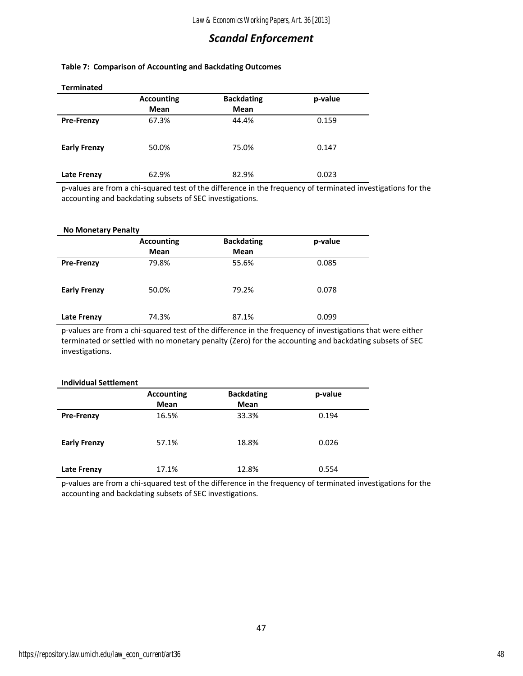### **Table 7: Comparison of Accounting and Backdating Outcomes**

| , c, , , , , , , , , , , , , |                   |                   |         |
|------------------------------|-------------------|-------------------|---------|
|                              | <b>Accounting</b> | <b>Backdating</b> | p-value |
|                              | <b>Mean</b>       | <b>Mean</b>       |         |
| <b>Pre-Frenzy</b>            | 67.3%             | 44.4%             | 0.159   |
| <b>Early Frenzy</b>          | 50.0%             | 75.0%             | 0.147   |
| Late Frenzy                  | 62.9%             | 82.9%             | 0.023   |

p‐values are from a chi‐squared test of the difference in the frequency of terminated investigations for the accounting and backdating subsets of SEC investigations.

| <b>No Monetary Penalty</b> |                           |                           |         |  |
|----------------------------|---------------------------|---------------------------|---------|--|
|                            | <b>Accounting</b><br>Mean | <b>Backdating</b><br>Mean | p-value |  |
| <b>Pre-Frenzy</b>          | 79.8%                     | 55.6%                     | 0.085   |  |
|                            |                           |                           |         |  |
| <b>Early Frenzy</b>        | 50.0%                     | 79.2%                     | 0.078   |  |
|                            |                           |                           |         |  |
| <b>Late Frenzy</b>         | 74.3%                     | 87.1%                     | 0.099   |  |

p-values are from a chi-squared test of the difference in the frequency of investigations that were either terminated or settled with no monetary penalty (Zero) for the accounting and backdating subsets of SEC investigations.

#### **Individual Settlement**

| ,,,,,,,,,,,,,,,,,,,,,,,,,,,, |                   |                   |         |  |
|------------------------------|-------------------|-------------------|---------|--|
|                              | <b>Accounting</b> | <b>Backdating</b> | p-value |  |
|                              | Mean              | Mean              |         |  |
| <b>Pre-Frenzy</b>            | 16.5%             | 33.3%             | 0.194   |  |
| <b>Early Frenzy</b>          | 57.1%             | 18.8%             | 0.026   |  |
| Late Frenzy                  | 17.1%             | 12.8%             | 0.554   |  |

p-values are from a chi-squared test of the difference in the frequency of terminated investigations for the accounting and backdating subsets of SEC investigations.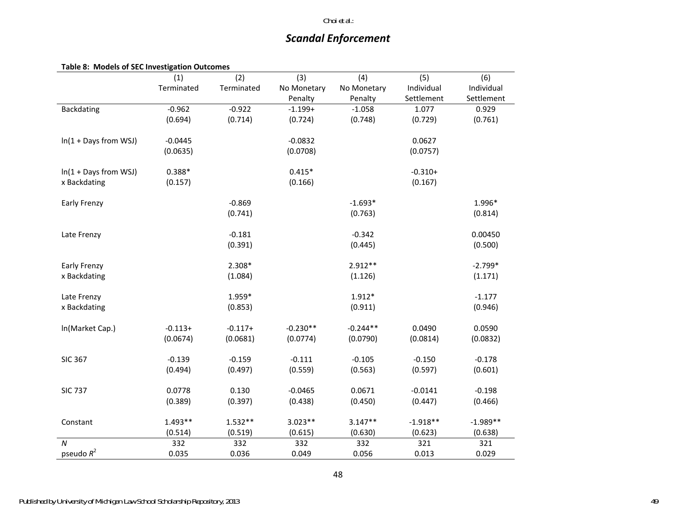## *Scandal Enforcement*

**Table 8: Models of SEC Investigation Outcomes**

|                         | (1)        | (2)        | (3)         | (4)         | (5)        | (6)        |
|-------------------------|------------|------------|-------------|-------------|------------|------------|
|                         | Terminated | Terminated | No Monetary | No Monetary | Individual | Individual |
|                         |            |            | Penalty     | Penalty     | Settlement | Settlement |
| Backdating              | $-0.962$   | $-0.922$   | $-1.199+$   | $-1.058$    | 1.077      | 0.929      |
|                         | (0.694)    | (0.714)    | (0.724)     | (0.748)     | (0.729)    | (0.761)    |
|                         |            |            |             |             |            |            |
| $ln(1 +$ Days from WSJ) | $-0.0445$  |            | $-0.0832$   |             | 0.0627     |            |
|                         | (0.0635)   |            | (0.0708)    |             | (0.0757)   |            |
|                         |            |            |             |             |            |            |
| $ln(1 +$ Days from WSJ) | $0.388*$   |            | $0.415*$    |             | $-0.310+$  |            |
| x Backdating            | (0.157)    |            | (0.166)     |             | (0.167)    |            |
|                         |            |            |             |             |            |            |
| Early Frenzy            |            | $-0.869$   |             | $-1.693*$   |            | 1.996*     |
|                         |            | (0.741)    |             | (0.763)     |            | (0.814)    |
|                         |            |            |             |             |            |            |
| Late Frenzy             |            | $-0.181$   |             | $-0.342$    |            | 0.00450    |
|                         |            | (0.391)    |             | (0.445)     |            | (0.500)    |
|                         |            |            |             |             |            |            |
| Early Frenzy            |            | 2.308*     |             | 2.912**     |            | $-2.799*$  |
| x Backdating            |            | (1.084)    |             | (1.126)     |            | (1.171)    |
|                         |            | 1.959*     |             | $1.912*$    |            | $-1.177$   |
| Late Frenzy             |            | (0.853)    |             | (0.911)     |            | (0.946)    |
| x Backdating            |            |            |             |             |            |            |
| In(Market Cap.)         | $-0.113+$  | $-0.117+$  | $-0.230**$  | $-0.244**$  | 0.0490     | 0.0590     |
|                         | (0.0674)   | (0.0681)   | (0.0774)    | (0.0790)    | (0.0814)   | (0.0832)   |
|                         |            |            |             |             |            |            |
| <b>SIC 367</b>          | $-0.139$   | $-0.159$   | $-0.111$    | $-0.105$    | $-0.150$   | $-0.178$   |
|                         | (0.494)    | (0.497)    | (0.559)     | (0.563)     | (0.597)    | (0.601)    |
|                         |            |            |             |             |            |            |
| <b>SIC 737</b>          | 0.0778     | 0.130      | $-0.0465$   | 0.0671      | $-0.0141$  | $-0.198$   |
|                         | (0.389)    | (0.397)    | (0.438)     | (0.450)     | (0.447)    | (0.466)    |
|                         |            |            |             |             |            |            |
| Constant                | $1.493**$  | $1.532**$  | $3.023**$   | $3.147**$   | $-1.918**$ | $-1.989**$ |
|                         | (0.514)    | (0.519)    | (0.615)     | (0.630)     | (0.623)    | (0.638)    |
| $\boldsymbol{N}$        | 332        | 332        | 332         | 332         | 321        | 321        |
| pseudo $R^2$            | 0.035      | 0.036      | 0.049       | 0.056       | 0.013      | 0.029      |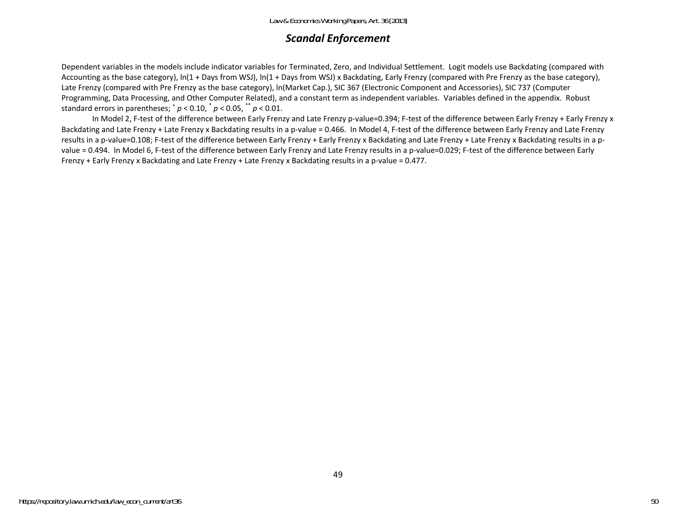Dependent variables in the models include indicator variables for Terminated, Zero, and Individual Settlement. Logit models use Backdating (compared with Accounting as the base category), ln(1 + Days from WSJ), ln(1 + Days from WSJ) x Backdating, Early Frenzy (compared with Pre Frenzy as the base category), Late Frenzy (compared with Pre Frenzy as the base category), ln(Market Cap.), SIC 367 (Electronic Component and Accessories), SIC 737 (Computer Programming, Data Processing, and Other Computer Related), and <sup>a</sup> constant term as independent variables. Variables defined in the appendix. Robust standard errors in parentheses;  $^{\text{+}}$   $p$  < 0.10,  $^{\text{+}}$   $p$  < 0.05,  $^{\text{+}}$   $p$  < 0.01.

In Model 2, F‐test of the difference between Early Frenzy and Late Frenzy p‐value=0.394; F‐test of the difference between Early Frenzy <sup>+</sup> Early Frenzy <sup>x</sup> Backdating and Late Frenzy + Late Frenzy x Backdating results in a p-value = 0.466. In Model 4, F-test of the difference between Early Frenzy and Late Frenzy results in <sup>a</sup> p‐value=0.108; F‐test of the difference between Early Frenzy <sup>+</sup> Early Frenzy <sup>x</sup> Backdating and Late Frenzy <sup>+</sup> Late Frenzy <sup>x</sup> Backdating results in <sup>a</sup> p‐ value <sup>=</sup> 0.494. In Model 6, F‐test of the difference between Early Frenzy and Late Frenzy results in <sup>a</sup> p‐value=0.029; F‐test of the difference between Early Frenzy + Early Frenzy x Backdating and Late Frenzy + Late Frenzy x Backdating results in a p-value = 0.477.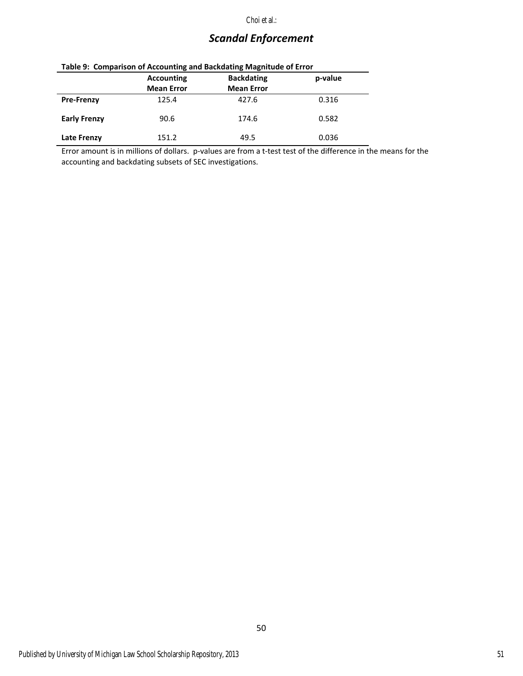## *Scandal Enforcement*

| Table 9: Comparison of Accounting and Backdating Magnitude of Error |                   |                   |         |  |
|---------------------------------------------------------------------|-------------------|-------------------|---------|--|
|                                                                     | <b>Accounting</b> | <b>Backdating</b> | p-value |  |
|                                                                     | <b>Mean Error</b> | <b>Mean Error</b> |         |  |
| <b>Pre-Frenzy</b>                                                   | 125.4             | 427.6             | 0.316   |  |
| <b>Early Frenzy</b>                                                 | 90.6              | 174.6             | 0.582   |  |
| Late Frenzy                                                         | 151.2             | 49.5              | 0.036   |  |

## **Table 9: Comparison of Accounting and Backdating Magnitude of Error**

Error amount is in millions of dollars. p-values are from a t-test test of the difference in the means for the accounting and backdating subsets of SEC investigations.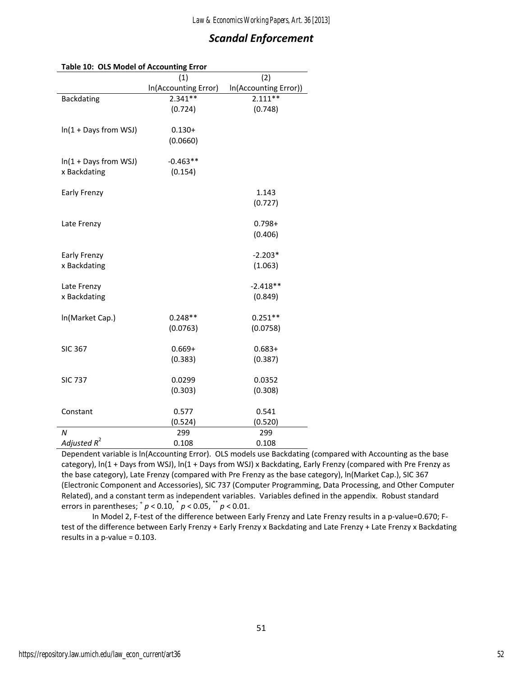| (1)<br>(2)<br>In(Accounting Error))<br>In(Accounting Error)<br>$2.341**$<br>$2.111**$<br><b>Backdating</b><br>(0.724)<br>(0.748)<br>$ln(1 +$ Days from WSJ)<br>$0.130+$<br>(0.0660)<br>$-0.463**$<br>$ln(1 +$ Days from WSJ)<br>x Backdating<br>(0.154)<br>1.143<br>Early Frenzy<br>(0.727)<br>$0.798 +$<br>Late Frenzy<br>(0.406)<br>$-2.203*$<br>Early Frenzy<br>(1.063)<br>x Backdating<br>$-2.418**$<br>Late Frenzy<br>x Backdating<br>(0.849)<br>In(Market Cap.)<br>$0.248**$<br>$0.251**$<br>(0.0763)<br>(0.0758)<br><b>SIC 367</b><br>$0.669+$<br>$0.683+$<br>(0.383)<br>(0.387)<br><b>SIC 737</b><br>0.0299<br>0.0352<br>(0.303)<br>(0.308)<br>Constant<br>0.577<br>0.541<br>(0.524)<br>(0.520)<br>N<br>299<br>299<br>Adjusted R <sup>2</sup><br>0.108<br>0.108 | rable 10. OLS MOdel of Accounting Error |  |
|-------------------------------------------------------------------------------------------------------------------------------------------------------------------------------------------------------------------------------------------------------------------------------------------------------------------------------------------------------------------------------------------------------------------------------------------------------------------------------------------------------------------------------------------------------------------------------------------------------------------------------------------------------------------------------------------------------------------------------------------------------------------------|-----------------------------------------|--|
|                                                                                                                                                                                                                                                                                                                                                                                                                                                                                                                                                                                                                                                                                                                                                                         |                                         |  |
|                                                                                                                                                                                                                                                                                                                                                                                                                                                                                                                                                                                                                                                                                                                                                                         |                                         |  |
|                                                                                                                                                                                                                                                                                                                                                                                                                                                                                                                                                                                                                                                                                                                                                                         |                                         |  |
|                                                                                                                                                                                                                                                                                                                                                                                                                                                                                                                                                                                                                                                                                                                                                                         |                                         |  |
|                                                                                                                                                                                                                                                                                                                                                                                                                                                                                                                                                                                                                                                                                                                                                                         |                                         |  |
|                                                                                                                                                                                                                                                                                                                                                                                                                                                                                                                                                                                                                                                                                                                                                                         |                                         |  |
|                                                                                                                                                                                                                                                                                                                                                                                                                                                                                                                                                                                                                                                                                                                                                                         |                                         |  |
|                                                                                                                                                                                                                                                                                                                                                                                                                                                                                                                                                                                                                                                                                                                                                                         |                                         |  |
|                                                                                                                                                                                                                                                                                                                                                                                                                                                                                                                                                                                                                                                                                                                                                                         |                                         |  |
|                                                                                                                                                                                                                                                                                                                                                                                                                                                                                                                                                                                                                                                                                                                                                                         |                                         |  |
|                                                                                                                                                                                                                                                                                                                                                                                                                                                                                                                                                                                                                                                                                                                                                                         |                                         |  |
|                                                                                                                                                                                                                                                                                                                                                                                                                                                                                                                                                                                                                                                                                                                                                                         |                                         |  |
|                                                                                                                                                                                                                                                                                                                                                                                                                                                                                                                                                                                                                                                                                                                                                                         |                                         |  |
|                                                                                                                                                                                                                                                                                                                                                                                                                                                                                                                                                                                                                                                                                                                                                                         |                                         |  |
|                                                                                                                                                                                                                                                                                                                                                                                                                                                                                                                                                                                                                                                                                                                                                                         |                                         |  |
|                                                                                                                                                                                                                                                                                                                                                                                                                                                                                                                                                                                                                                                                                                                                                                         |                                         |  |
|                                                                                                                                                                                                                                                                                                                                                                                                                                                                                                                                                                                                                                                                                                                                                                         |                                         |  |
|                                                                                                                                                                                                                                                                                                                                                                                                                                                                                                                                                                                                                                                                                                                                                                         |                                         |  |
|                                                                                                                                                                                                                                                                                                                                                                                                                                                                                                                                                                                                                                                                                                                                                                         |                                         |  |
|                                                                                                                                                                                                                                                                                                                                                                                                                                                                                                                                                                                                                                                                                                                                                                         |                                         |  |
|                                                                                                                                                                                                                                                                                                                                                                                                                                                                                                                                                                                                                                                                                                                                                                         |                                         |  |
|                                                                                                                                                                                                                                                                                                                                                                                                                                                                                                                                                                                                                                                                                                                                                                         |                                         |  |
|                                                                                                                                                                                                                                                                                                                                                                                                                                                                                                                                                                                                                                                                                                                                                                         |                                         |  |
|                                                                                                                                                                                                                                                                                                                                                                                                                                                                                                                                                                                                                                                                                                                                                                         |                                         |  |
|                                                                                                                                                                                                                                                                                                                                                                                                                                                                                                                                                                                                                                                                                                                                                                         |                                         |  |
|                                                                                                                                                                                                                                                                                                                                                                                                                                                                                                                                                                                                                                                                                                                                                                         |                                         |  |
|                                                                                                                                                                                                                                                                                                                                                                                                                                                                                                                                                                                                                                                                                                                                                                         |                                         |  |
|                                                                                                                                                                                                                                                                                                                                                                                                                                                                                                                                                                                                                                                                                                                                                                         |                                         |  |
|                                                                                                                                                                                                                                                                                                                                                                                                                                                                                                                                                                                                                                                                                                                                                                         |                                         |  |
|                                                                                                                                                                                                                                                                                                                                                                                                                                                                                                                                                                                                                                                                                                                                                                         |                                         |  |
|                                                                                                                                                                                                                                                                                                                                                                                                                                                                                                                                                                                                                                                                                                                                                                         |                                         |  |
|                                                                                                                                                                                                                                                                                                                                                                                                                                                                                                                                                                                                                                                                                                                                                                         |                                         |  |
|                                                                                                                                                                                                                                                                                                                                                                                                                                                                                                                                                                                                                                                                                                                                                                         |                                         |  |
|                                                                                                                                                                                                                                                                                                                                                                                                                                                                                                                                                                                                                                                                                                                                                                         |                                         |  |
|                                                                                                                                                                                                                                                                                                                                                                                                                                                                                                                                                                                                                                                                                                                                                                         |                                         |  |
|                                                                                                                                                                                                                                                                                                                                                                                                                                                                                                                                                                                                                                                                                                                                                                         |                                         |  |

### **Table 10: OLS Model of Accounting Error**

Dependent variable is ln(Accounting Error). OLS models use Backdating (compared with Accounting as the base category), ln(1 + Days from WSJ), ln(1 + Days from WSJ) x Backdating, Early Frenzy (compared with Pre Frenzy as the base category), Late Frenzy (compared with Pre Frenzy as the base category), ln(Market Cap.), SIC 367 (Electronic Component and Accessories), SIC 737 (Computer Programming, Data Processing, and Other Computer Related), and a constant term as independent variables. Variables defined in the appendix. Robust standard errors in parentheses;  $^{+}$   $p$  < 0.10,  $^{*}$   $p$  < 0.05,  $^{*}$   $p$  < 0.01.

In Model 2, F-test of the difference between Early Frenzy and Late Frenzy results in a p-value=0.670; Ftest of the difference between Early Frenzy + Early Frenzy x Backdating and Late Frenzy + Late Frenzy x Backdating results in a p‐value = 0.103.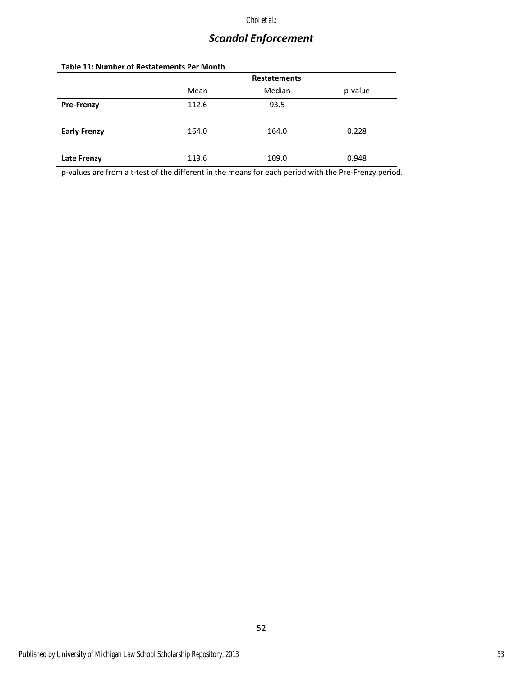## *Scandal Enforcement*

|                     | Table 11. Number of Restatements Fer Nomin<br><b>Restatements</b> |        |         |
|---------------------|-------------------------------------------------------------------|--------|---------|
|                     | Mean                                                              | Median | p-value |
| <b>Pre-Frenzy</b>   | 112.6                                                             | 93.5   |         |
| <b>Early Frenzy</b> | 164.0                                                             | 164.0  | 0.228   |
| Late Frenzy         | 113.6                                                             | 109.0  | 0.948   |

### **Table 11: Number of Restatements Per Month**

p-values are from a t-test of the different in the means for each period with the Pre-Frenzy period.